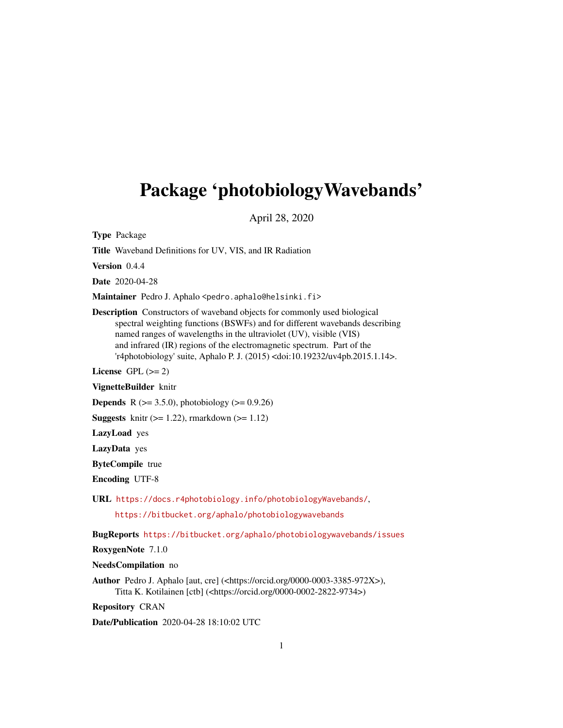# <span id="page-0-0"></span>Package 'photobiologyWavebands'

April 28, 2020

Type Package

Title Waveband Definitions for UV, VIS, and IR Radiation

Version 0.4.4

Date 2020-04-28

Maintainer Pedro J. Aphalo <pedro.aphalo@helsinki.fi>

Description Constructors of waveband objects for commonly used biological spectral weighting functions (BSWFs) and for different wavebands describing named ranges of wavelengths in the ultraviolet (UV), visible (VIS) and infrared (IR) regions of the electromagnetic spectrum. Part of the 'r4photobiology' suite, Aphalo P. J. (2015) <doi:10.19232/uv4pb.2015.1.14>.

License GPL  $(>= 2)$ 

VignetteBuilder knitr

**Depends** R ( $>= 3.5.0$ ), photobiology ( $>= 0.9.26$ )

**Suggests** knitr  $(>= 1.22)$ , rmarkdown  $(>= 1.12)$ 

LazyLoad yes

LazyData yes

ByteCompile true

Encoding UTF-8

URL <https://docs.r4photobiology.info/photobiologyWavebands/>,

<https://bitbucket.org/aphalo/photobiologywavebands>

BugReports <https://bitbucket.org/aphalo/photobiologywavebands/issues>

RoxygenNote 7.1.0

NeedsCompilation no

Author Pedro J. Aphalo [aut, cre] (<https://orcid.org/0000-0003-3385-972X>), Titta K. Kotilainen [ctb] (<https://orcid.org/0000-0002-2822-9734>)

Repository CRAN

Date/Publication 2020-04-28 18:10:02 UTC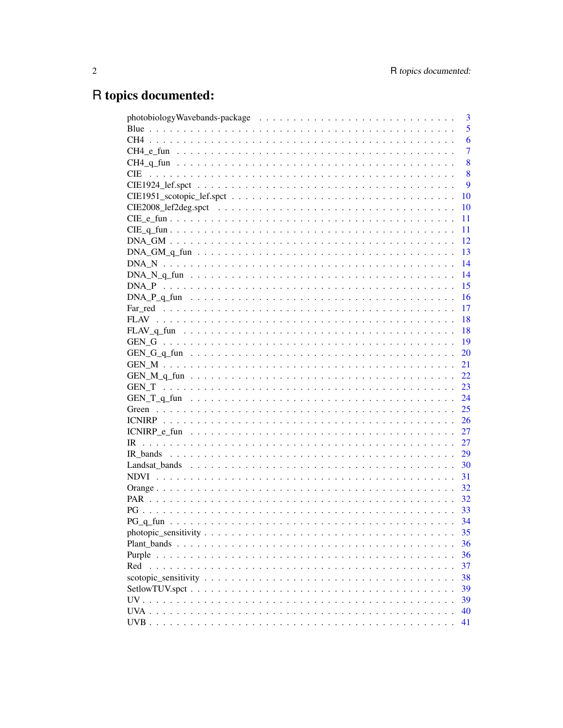# R topics documented:

|                                                                                                               | 3              |
|---------------------------------------------------------------------------------------------------------------|----------------|
|                                                                                                               | 5              |
|                                                                                                               | 6              |
|                                                                                                               | $\overline{7}$ |
|                                                                                                               | 8              |
| <b>CIE</b>                                                                                                    | 8              |
|                                                                                                               | 9              |
|                                                                                                               | 10             |
|                                                                                                               | 10             |
|                                                                                                               | 11             |
|                                                                                                               | 11             |
|                                                                                                               | 12             |
|                                                                                                               | 13             |
|                                                                                                               | 14             |
|                                                                                                               | 14             |
|                                                                                                               | 15             |
| DNA P q fun $\dots \dots \dots \dots \dots \dots \dots \dots \dots \dots \dots \dots \dots \dots \dots \dots$ | 16             |
|                                                                                                               | 17             |
|                                                                                                               | 18             |
|                                                                                                               | 18             |
|                                                                                                               | 19             |
|                                                                                                               | 20             |
|                                                                                                               | 21             |
|                                                                                                               | 22             |
|                                                                                                               | 23             |
|                                                                                                               | 24             |
|                                                                                                               | 25             |
|                                                                                                               | 26             |
|                                                                                                               | 27             |
|                                                                                                               | 27             |
|                                                                                                               | 29             |
|                                                                                                               | 30             |
|                                                                                                               | 31             |
|                                                                                                               | 32             |
|                                                                                                               | 32             |
| PG.                                                                                                           | 33             |
|                                                                                                               | 34             |
|                                                                                                               | 35             |
|                                                                                                               | 36             |
|                                                                                                               | 36             |
| Red                                                                                                           | 37             |
|                                                                                                               | 38             |
|                                                                                                               | 39             |
|                                                                                                               | 39             |
|                                                                                                               | 40             |
|                                                                                                               | 41             |
|                                                                                                               |                |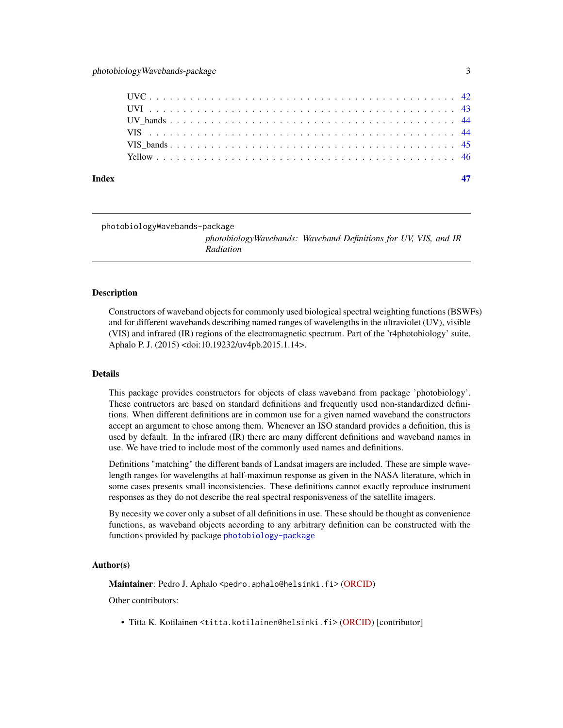<span id="page-2-0"></span>

| Index |  |  |  |  |  |  |  |  |  |  |  |  |  |  |  |  |  |  |  |
|-------|--|--|--|--|--|--|--|--|--|--|--|--|--|--|--|--|--|--|--|
|       |  |  |  |  |  |  |  |  |  |  |  |  |  |  |  |  |  |  |  |
|       |  |  |  |  |  |  |  |  |  |  |  |  |  |  |  |  |  |  |  |
|       |  |  |  |  |  |  |  |  |  |  |  |  |  |  |  |  |  |  |  |
|       |  |  |  |  |  |  |  |  |  |  |  |  |  |  |  |  |  |  |  |
|       |  |  |  |  |  |  |  |  |  |  |  |  |  |  |  |  |  |  |  |
|       |  |  |  |  |  |  |  |  |  |  |  |  |  |  |  |  |  |  |  |

## photobiologyWavebands-package

*photobiologyWavebands: Waveband Definitions for UV, VIS, and IR Radiation*

## Description

Constructors of waveband objects for commonly used biological spectral weighting functions (BSWFs) and for different wavebands describing named ranges of wavelengths in the ultraviolet (UV), visible (VIS) and infrared (IR) regions of the electromagnetic spectrum. Part of the 'r4photobiology' suite, Aphalo P. J. (2015) <doi:10.19232/uv4pb.2015.1.14>.

## Details

This package provides constructors for objects of class waveband from package 'photobiology'. These contructors are based on standard definitions and frequently used non-standardized definitions. When different definitions are in common use for a given named waveband the constructors accept an argument to chose among them. Whenever an ISO standard provides a definition, this is used by default. In the infrared (IR) there are many different definitions and waveband names in use. We have tried to include most of the commonly used names and definitions.

Definitions "matching" the different bands of Landsat imagers are included. These are simple wavelength ranges for wavelengths at half-maximun response as given in the NASA literature, which in some cases presents small inconsistencies. These definitions cannot exactly reproduce instrument responses as they do not describe the real spectral responisveness of the satellite imagers.

By necesity we cover only a subset of all definitions in use. These should be thought as convenience functions, as waveband objects according to any arbitrary definition can be constructed with the functions provided by package [photobiology-package](#page-0-0)

## Author(s)

Maintainer: Pedro J. Aphalo <pedro.aphalo@helsinki.fi> [\(ORCID\)](https://orcid.org/0000-0003-3385-972X)

Other contributors:

• Titta K. Kotilainen <titta.kotilainen@helsinki.fi> [\(ORCID\)](https://orcid.org/0000-0002-2822-9734) [contributor]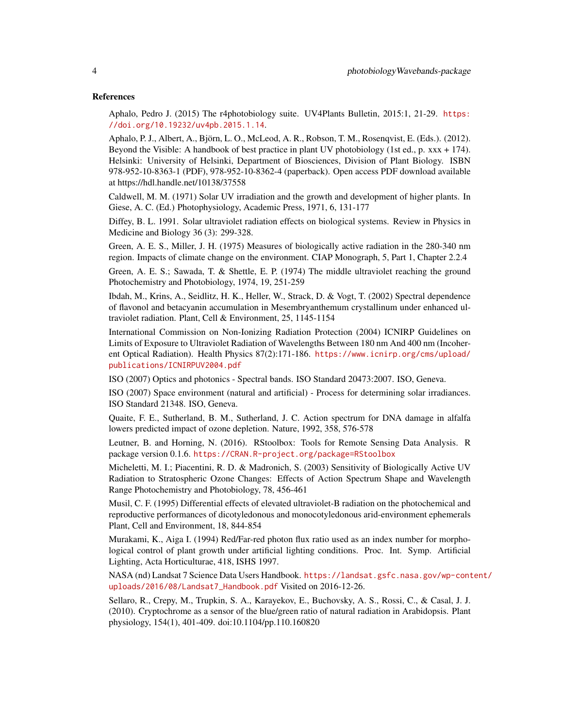#### References

Aphalo, Pedro J. (2015) The r4photobiology suite. UV4Plants Bulletin, 2015:1, 21-29. [https:](https://doi.org/10.19232/uv4pb.2015.1.14) [//doi.org/10.19232/uv4pb.2015.1.14](https://doi.org/10.19232/uv4pb.2015.1.14).

Aphalo, P. J., Albert, A., Björn, L. O., McLeod, A. R., Robson, T. M., Rosenqvist, E. (Eds.). (2012). Beyond the Visible: A handbook of best practice in plant UV photobiology (1st ed., p. xxx + 174). Helsinki: University of Helsinki, Department of Biosciences, Division of Plant Biology. ISBN 978-952-10-8363-1 (PDF), 978-952-10-8362-4 (paperback). Open access PDF download available at https://hdl.handle.net/10138/37558

Caldwell, M. M. (1971) Solar UV irradiation and the growth and development of higher plants. In Giese, A. C. (Ed.) Photophysiology, Academic Press, 1971, 6, 131-177

Diffey, B. L. 1991. Solar ultraviolet radiation effects on biological systems. Review in Physics in Medicine and Biology 36 (3): 299-328.

Green, A. E. S., Miller, J. H. (1975) Measures of biologically active radiation in the 280-340 nm region. Impacts of climate change on the environment. CIAP Monograph, 5, Part 1, Chapter 2.2.4

Green, A. E. S.; Sawada, T. & Shettle, E. P. (1974) The middle ultraviolet reaching the ground Photochemistry and Photobiology, 1974, 19, 251-259

Ibdah, M., Krins, A., Seidlitz, H. K., Heller, W., Strack, D. & Vogt, T. (2002) Spectral dependence of flavonol and betacyanin accumulation in Mesembryanthemum crystallinum under enhanced ultraviolet radiation. Plant, Cell & Environment, 25, 1145-1154

International Commission on Non-Ionizing Radiation Protection (2004) ICNIRP Guidelines on Limits of Exposure to Ultraviolet Radiation of Wavelengths Between 180 nm And 400 nm (Incoherent Optical Radiation). Health Physics 87(2):171-186. [https://www.icnirp.org/cms/upload/](https://www.icnirp.org/cms/upload/publications/ICNIRPUV2004.pdf) [publications/ICNIRPUV2004.pdf](https://www.icnirp.org/cms/upload/publications/ICNIRPUV2004.pdf)

ISO (2007) Optics and photonics - Spectral bands. ISO Standard 20473:2007. ISO, Geneva.

ISO (2007) Space environment (natural and artificial) - Process for determining solar irradiances. ISO Standard 21348. ISO, Geneva.

Quaite, F. E., Sutherland, B. M., Sutherland, J. C. Action spectrum for DNA damage in alfalfa lowers predicted impact of ozone depletion. Nature, 1992, 358, 576-578

Leutner, B. and Horning, N. (2016). RStoolbox: Tools for Remote Sensing Data Analysis. R package version 0.1.6. <https://CRAN.R-project.org/package=RStoolbox>

Micheletti, M. I.; Piacentini, R. D. & Madronich, S. (2003) Sensitivity of Biologically Active UV Radiation to Stratospheric Ozone Changes: Effects of Action Spectrum Shape and Wavelength Range Photochemistry and Photobiology, 78, 456-461

Musil, C. F. (1995) Differential effects of elevated ultraviolet-B radiation on the photochemical and reproductive performances of dicotyledonous and monocotyledonous arid-environment ephemerals Plant, Cell and Environment, 18, 844-854

Murakami, K., Aiga I. (1994) Red/Far-red photon flux ratio used as an index number for morphological control of plant growth under artificial lighting conditions. Proc. Int. Symp. Artificial Lighting, Acta Horticulturae, 418, ISHS 1997.

NASA (nd) Landsat 7 Science Data Users Handbook. [https://landsat.gsfc.nasa.gov/wp-cont](https://landsat.gsfc.nasa.gov/wp-content/uploads/2016/08/Landsat7_Handbook.pdf)ent/ [uploads/2016/08/Landsat7\\_Handbook.pdf](https://landsat.gsfc.nasa.gov/wp-content/uploads/2016/08/Landsat7_Handbook.pdf) Visited on 2016-12-26.

Sellaro, R., Crepy, M., Trupkin, S. A., Karayekov, E., Buchovsky, A. S., Rossi, C., & Casal, J. J. (2010). Cryptochrome as a sensor of the blue/green ratio of natural radiation in Arabidopsis. Plant physiology, 154(1), 401-409. doi:10.1104/pp.110.160820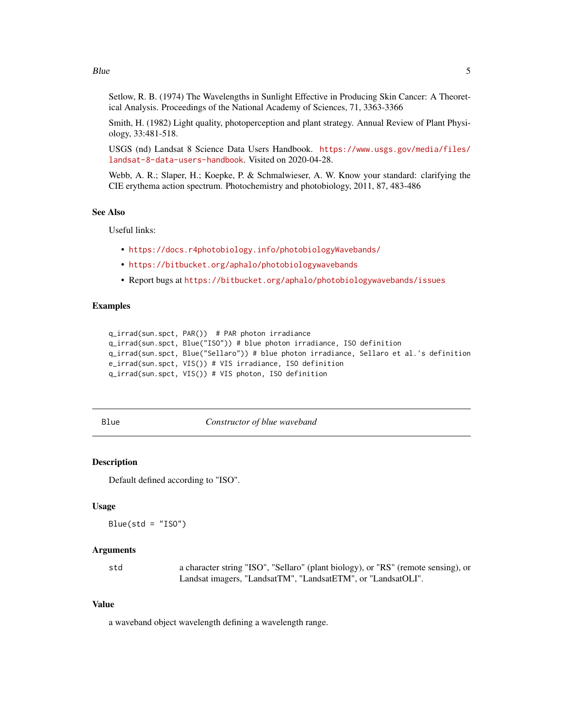#### <span id="page-4-0"></span> $B$ lue  $5$

Setlow, R. B. (1974) The Wavelengths in Sunlight Effective in Producing Skin Cancer: A Theoretical Analysis. Proceedings of the National Academy of Sciences, 71, 3363-3366

Smith, H. (1982) Light quality, photoperception and plant strategy. Annual Review of Plant Physiology, 33:481-518.

USGS (nd) Landsat 8 Science Data Users Handbook. [https://www.usgs.gov/media/files/](https://www.usgs.gov/media/files/landsat-8-data-users-handbook) [landsat-8-data-users-handbook](https://www.usgs.gov/media/files/landsat-8-data-users-handbook). Visited on 2020-04-28.

Webb, A. R.; Slaper, H.; Koepke, P. & Schmalwieser, A. W. Know your standard: clarifying the CIE erythema action spectrum. Photochemistry and photobiology, 2011, 87, 483-486

## See Also

Useful links:

- <https://docs.r4photobiology.info/photobiologyWavebands/>
- <https://bitbucket.org/aphalo/photobiologywavebands>
- Report bugs at <https://bitbucket.org/aphalo/photobiologywavebands/issues>

## Examples

```
q_irrad(sun.spct, PAR()) # PAR photon irradiance
q_irrad(sun.spct, Blue("ISO")) # blue photon irradiance, ISO definition
q_irrad(sun.spct, Blue("Sellaro")) # blue photon irradiance, Sellaro et al.'s definition
e_irrad(sun.spct, VIS()) # VIS irradiance, ISO definition
q_irrad(sun.spct, VIS()) # VIS photon, ISO definition
```
<span id="page-4-1"></span>

Blue *Constructor of blue waveband*

## Description

Default defined according to "ISO".

## Usage

 $Blue(std = "ISO")$ 

#### Arguments

std a character string "ISO", "Sellaro" (plant biology), or "RS" (remote sensing), or Landsat imagers, "LandsatTM", "LandsatETM", or "LandsatOLI".

#### Value

a waveband object wavelength defining a wavelength range.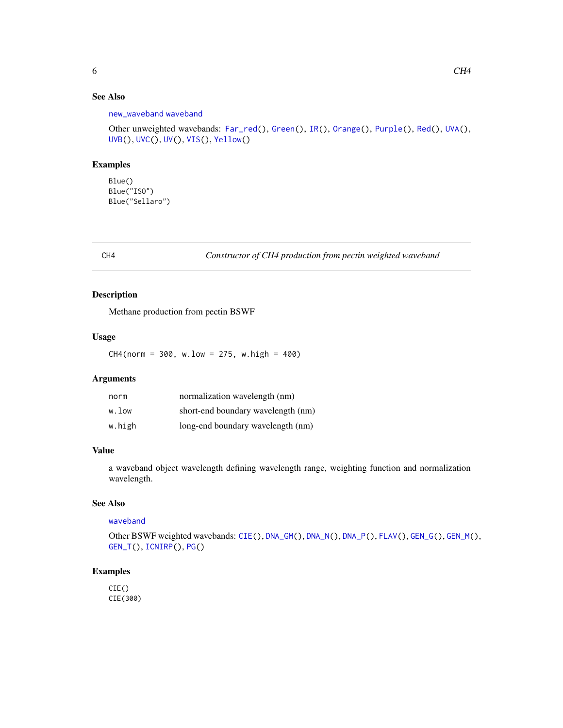## <span id="page-5-0"></span>See Also

```
new_waveband waveband
```

```
Other unweighted wavebands: Far_red(), Green(), IR(), Orange(), Purple(), Red(), UVA(),
UVB(), UVC(), UV(), VIS(), Yellow()
```
#### Examples

Blue() Blue("ISO") Blue("Sellaro")

<span id="page-5-1"></span>CH4 *Constructor of CH4 production from pectin weighted waveband*

## Description

Methane production from pectin BSWF

## Usage

 $CH4(norm = 300, w.low = 275, w.high = 400)$ 

## Arguments

| norm   | normalization wavelength (nm)      |
|--------|------------------------------------|
| w.low  | short-end boundary wavelength (nm) |
| w.high | long-end boundary wavelength (nm)  |

## Value

a waveband object wavelength defining wavelength range, weighting function and normalization wavelength.

## See Also

[waveband](#page-0-0)

Other BSWF weighted wavebands: [CIE\(](#page-7-1)), [DNA\\_GM\(](#page-11-1)), [DNA\\_N\(](#page-13-1)), [DNA\\_P\(](#page-14-1)), [FLAV\(](#page-17-1)), [GEN\\_G\(](#page-18-1)), [GEN\\_M\(](#page-20-1)), [GEN\\_T\(](#page-22-1)), [ICNIRP\(](#page-25-1)), [PG\(](#page-32-1))

## Examples

CIE() CIE(300)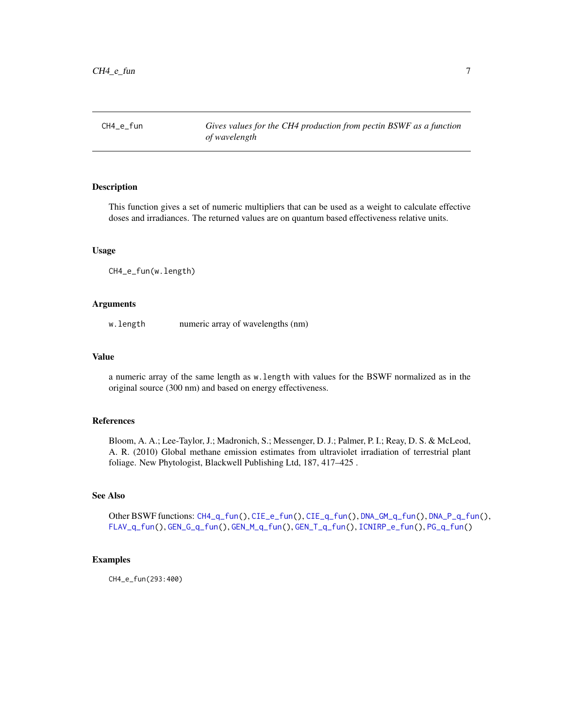<span id="page-6-1"></span><span id="page-6-0"></span>

This function gives a set of numeric multipliers that can be used as a weight to calculate effective doses and irradiances. The returned values are on quantum based effectiveness relative units.

#### Usage

CH4\_e\_fun(w.length)

## Arguments

w.length numeric array of wavelengths (nm)

#### Value

a numeric array of the same length as w.length with values for the BSWF normalized as in the original source (300 nm) and based on energy effectiveness.

## References

Bloom, A. A.; Lee-Taylor, J.; Madronich, S.; Messenger, D. J.; Palmer, P. I.; Reay, D. S. & McLeod, A. R. (2010) Global methane emission estimates from ultraviolet irradiation of terrestrial plant foliage. New Phytologist, Blackwell Publishing Ltd, 187, 417–425 .

## See Also

Other BSWF functions: [CH4\\_q\\_fun\(](#page-7-2)), [CIE\\_e\\_fun\(](#page-10-1)), [CIE\\_q\\_fun\(](#page-10-2)), [DNA\\_GM\\_q\\_fun\(](#page-12-1)), [DNA\\_P\\_q\\_fun\(](#page-15-1)), [FLAV\\_q\\_fun\(](#page-17-2)), [GEN\\_G\\_q\\_fun\(](#page-19-1)), [GEN\\_M\\_q\\_fun\(](#page-21-1)), [GEN\\_T\\_q\\_fun\(](#page-23-1)), [ICNIRP\\_e\\_fun\(](#page-26-2)), [PG\\_q\\_fun\(](#page-33-1))

#### Examples

CH4\_e\_fun(293:400)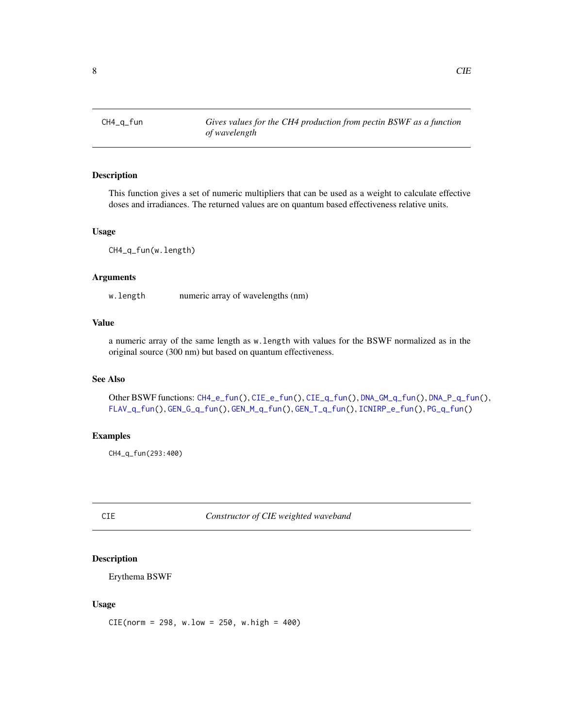<span id="page-7-2"></span><span id="page-7-0"></span>This function gives a set of numeric multipliers that can be used as a weight to calculate effective doses and irradiances. The returned values are on quantum based effectiveness relative units.

#### Usage

CH4\_q\_fun(w.length)

## Arguments

w. length numeric array of wavelengths (nm)

## Value

a numeric array of the same length as w.length with values for the BSWF normalized as in the original source (300 nm) but based on quantum effectiveness.

#### See Also

Other BSWF functions: [CH4\\_e\\_fun\(](#page-6-1)), [CIE\\_e\\_fun\(](#page-10-1)), [CIE\\_q\\_fun\(](#page-10-2)), [DNA\\_GM\\_q\\_fun\(](#page-12-1)), [DNA\\_P\\_q\\_fun\(](#page-15-1)), [FLAV\\_q\\_fun\(](#page-17-2)), [GEN\\_G\\_q\\_fun\(](#page-19-1)), [GEN\\_M\\_q\\_fun\(](#page-21-1)), [GEN\\_T\\_q\\_fun\(](#page-23-1)), [ICNIRP\\_e\\_fun\(](#page-26-2)), [PG\\_q\\_fun\(](#page-33-1))

#### Examples

CH4\_q\_fun(293:400)

<span id="page-7-1"></span>CIE *Constructor of CIE weighted waveband*

## Description

Erythema BSWF

#### Usage

 $CIE(norm = 298, w.low = 250, w.high = 400)$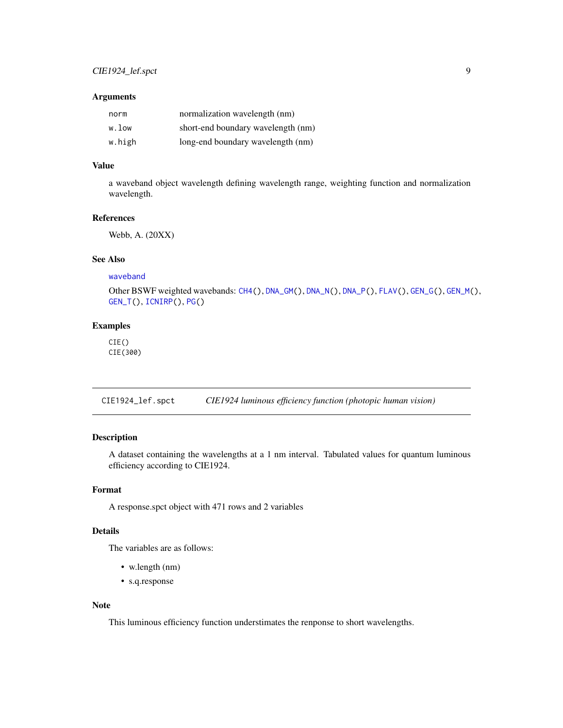#### <span id="page-8-0"></span>Arguments

| norm   | normalization wavelength (nm)      |
|--------|------------------------------------|
| w.low  | short-end boundary wavelength (nm) |
| w.high | long-end boundary wavelength (nm)  |

## Value

a waveband object wavelength defining wavelength range, weighting function and normalization wavelength.

#### References

Webb, A. (20XX)

## See Also

[waveband](#page-0-0)

Other BSWF weighted wavebands: [CH4\(](#page-5-1)), [DNA\\_GM\(](#page-11-1)), [DNA\\_N\(](#page-13-1)), [DNA\\_P\(](#page-14-1)), [FLAV\(](#page-17-1)), [GEN\\_G\(](#page-18-1)), [GEN\\_M\(](#page-20-1)), [GEN\\_T\(](#page-22-1)), [ICNIRP\(](#page-25-1)), [PG\(](#page-32-1))

## Examples

CIE() CIE(300)

CIE1924\_lef.spct *CIE1924 luminous efficiency function (photopic human vision)*

## Description

A dataset containing the wavelengths at a 1 nm interval. Tabulated values for quantum luminous efficiency according to CIE1924.

## Format

A response.spct object with 471 rows and 2 variables

## Details

The variables are as follows:

- w.length (nm)
- s.q.response

## Note

This luminous efficiency function understimates the renponse to short wavelengths.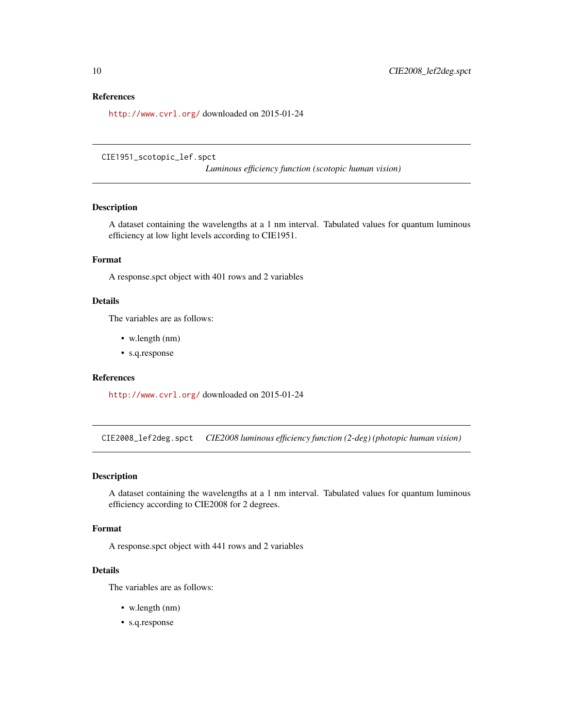#### <span id="page-9-0"></span>References

<http://www.cvrl.org/> downloaded on 2015-01-24

CIE1951\_scotopic\_lef.spct

*Luminous efficiency function (scotopic human vision)*

## Description

A dataset containing the wavelengths at a 1 nm interval. Tabulated values for quantum luminous efficiency at low light levels according to CIE1951.

## Format

A response.spct object with 401 rows and 2 variables

#### Details

The variables are as follows:

- w.length (nm)
- s.q.response

## References

<http://www.cvrl.org/> downloaded on 2015-01-24

CIE2008\_lef2deg.spct *CIE2008 luminous efficiency function (2-deg) (photopic human vision)*

## Description

A dataset containing the wavelengths at a 1 nm interval. Tabulated values for quantum luminous efficiency according to CIE2008 for 2 degrees.

#### Format

A response.spct object with 441 rows and 2 variables

## Details

The variables are as follows:

- w.length (nm)
- s.q.response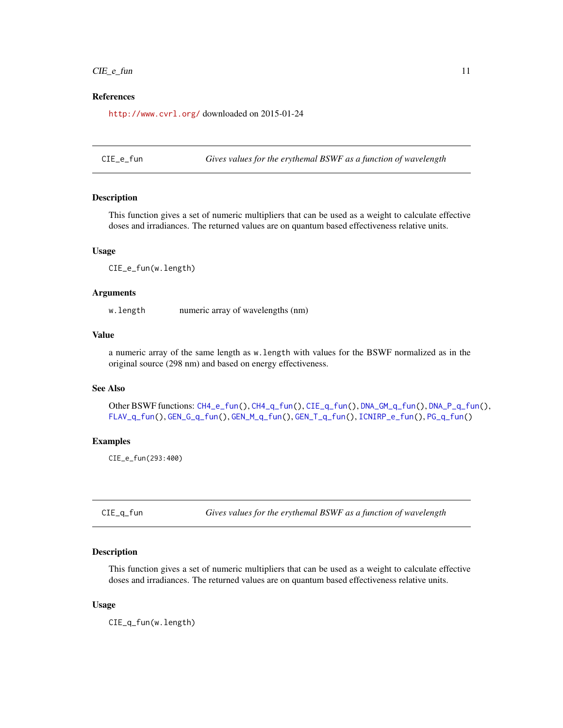## <span id="page-10-0"></span> $CIE<sub>__</sub>e<sub>__</sub>fun$  11

## References

<http://www.cvrl.org/> downloaded on 2015-01-24

<span id="page-10-1"></span>CIE\_e\_fun *Gives values for the erythemal BSWF as a function of wavelength*

#### **Description**

This function gives a set of numeric multipliers that can be used as a weight to calculate effective doses and irradiances. The returned values are on quantum based effectiveness relative units.

#### Usage

CIE\_e\_fun(w.length)

## Arguments

w.length numeric array of wavelengths (nm)

## Value

a numeric array of the same length as w.length with values for the BSWF normalized as in the original source (298 nm) and based on energy effectiveness.

## See Also

Other BSWF functions: [CH4\\_e\\_fun\(](#page-6-1)), [CH4\\_q\\_fun\(](#page-7-2)), [CIE\\_q\\_fun\(](#page-10-2)), [DNA\\_GM\\_q\\_fun\(](#page-12-1)), [DNA\\_P\\_q\\_fun\(](#page-15-1)), [FLAV\\_q\\_fun\(](#page-17-2)), [GEN\\_G\\_q\\_fun\(](#page-19-1)), [GEN\\_M\\_q\\_fun\(](#page-21-1)), [GEN\\_T\\_q\\_fun\(](#page-23-1)), [ICNIRP\\_e\\_fun\(](#page-26-2)), [PG\\_q\\_fun\(](#page-33-1))

#### Examples

CIE\_e\_fun(293:400)

<span id="page-10-2"></span>CIE\_q\_fun *Gives values for the erythemal BSWF as a function of wavelength*

## Description

This function gives a set of numeric multipliers that can be used as a weight to calculate effective doses and irradiances. The returned values are on quantum based effectiveness relative units.

#### Usage

CIE\_q\_fun(w.length)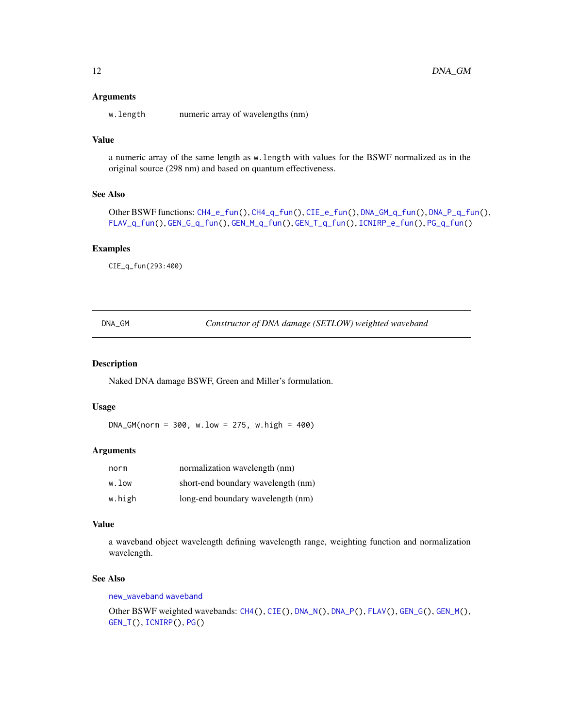## <span id="page-11-0"></span>**Arguments**

w.length numeric array of wavelengths (nm)

## Value

a numeric array of the same length as w.length with values for the BSWF normalized as in the original source (298 nm) and based on quantum effectiveness.

#### See Also

```
Other BSWF functions: CH4_e_fun(), CH4_q_fun(), CIE_e_fun(), DNA_GM_q_fun(), DNA_P_q_fun(),
FLAV_q_fun(), GEN_G_q_fun(), GEN_M_q_fun(), GEN_T_q_fun(), ICNIRP_e_fun(), PG_q_fun()
```
## Examples

CIE\_q\_fun(293:400)

<span id="page-11-1"></span>DNA\_GM *Constructor of DNA damage (SETLOW) weighted waveband*

## Description

Naked DNA damage BSWF, Green and Miller's formulation.

## Usage

 $DNA_GM(norm = 300, w.low = 275, w.high = 400)$ 

## Arguments

| norm   | normalization wavelength (nm)      |
|--------|------------------------------------|
| w.low  | short-end boundary wavelength (nm) |
| w.high | long-end boundary wavelength (nm)  |

#### Value

a waveband object wavelength defining wavelength range, weighting function and normalization wavelength.

## See Also

[new\\_waveband](#page-0-0) [waveband](#page-0-0)

Other BSWF weighted wavebands: [CH4\(](#page-5-1)), [CIE\(](#page-7-1)), [DNA\\_N\(](#page-13-1)), [DNA\\_P\(](#page-14-1)), [FLAV\(](#page-17-1)), [GEN\\_G\(](#page-18-1)), [GEN\\_M\(](#page-20-1)), [GEN\\_T\(](#page-22-1)), [ICNIRP\(](#page-25-1)), [PG\(](#page-32-1))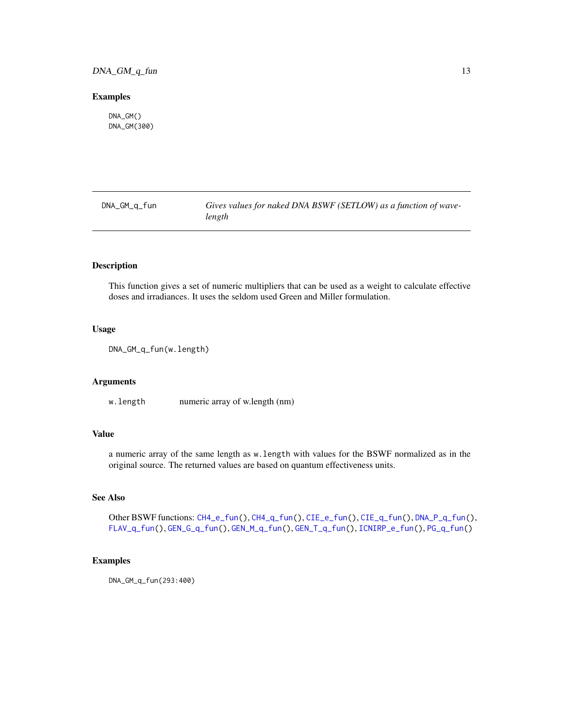## <span id="page-12-0"></span>DNA\_GM\_q\_fun 13

#### Examples

DNA\_GM() DNA\_GM(300)

<span id="page-12-1"></span>DNA\_GM\_q\_fun *Gives values for naked DNA BSWF (SETLOW) as a function of wavelength*

## Description

This function gives a set of numeric multipliers that can be used as a weight to calculate effective doses and irradiances. It uses the seldom used Green and Miller formulation.

## Usage

DNA\_GM\_q\_fun(w.length)

## Arguments

w.length numeric array of w.length (nm)

## Value

a numeric array of the same length as w.length with values for the BSWF normalized as in the original source. The returned values are based on quantum effectiveness units.

## See Also

Other BSWF functions: [CH4\\_e\\_fun\(](#page-6-1)), [CH4\\_q\\_fun\(](#page-7-2)), [CIE\\_e\\_fun\(](#page-10-1)), [CIE\\_q\\_fun\(](#page-10-2)), [DNA\\_P\\_q\\_fun\(](#page-15-1)), [FLAV\\_q\\_fun\(](#page-17-2)), [GEN\\_G\\_q\\_fun\(](#page-19-1)), [GEN\\_M\\_q\\_fun\(](#page-21-1)), [GEN\\_T\\_q\\_fun\(](#page-23-1)), [ICNIRP\\_e\\_fun\(](#page-26-2)), [PG\\_q\\_fun\(](#page-33-1))

## Examples

DNA\_GM\_q\_fun(293:400)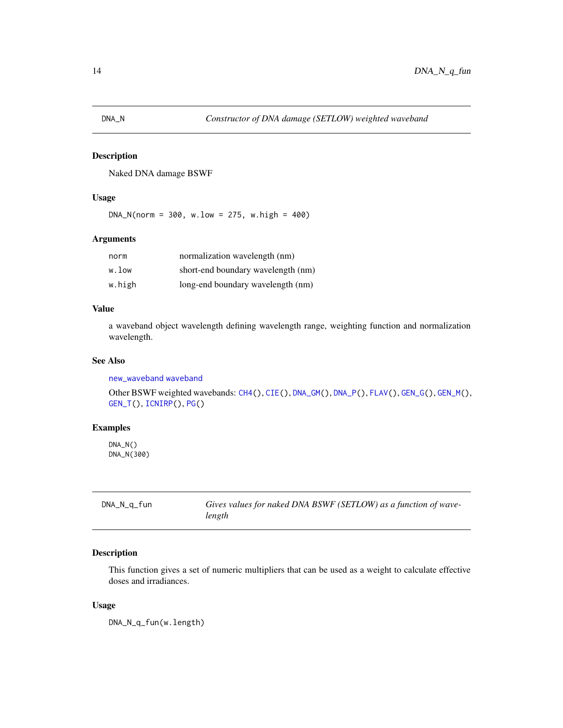<span id="page-13-1"></span><span id="page-13-0"></span>

Naked DNA damage BSWF

## Usage

 $DNA_N(norm = 300, w.low = 275, w.high = 400)$ 

## Arguments

| norm   | normalization wavelength (nm)      |
|--------|------------------------------------|
| w.low  | short-end boundary wavelength (nm) |
| w.high | long-end boundary wavelength (nm)  |

## Value

a waveband object wavelength defining wavelength range, weighting function and normalization wavelength.

#### See Also

[new\\_waveband](#page-0-0) [waveband](#page-0-0)

Other BSWF weighted wavebands: [CH4\(](#page-5-1)), [CIE\(](#page-7-1)), [DNA\\_GM\(](#page-11-1)), [DNA\\_P\(](#page-14-1)), [FLAV\(](#page-17-1)), [GEN\\_G\(](#page-18-1)), [GEN\\_M\(](#page-20-1)), [GEN\\_T\(](#page-22-1)), [ICNIRP\(](#page-25-1)), [PG\(](#page-32-1))

## Examples

DNA\_N() DNA\_N(300)

| DNA_N_q_fun | Gives values for naked DNA BSWF (SETLOW) as a function of wave- |
|-------------|-----------------------------------------------------------------|
|             | length                                                          |

## Description

This function gives a set of numeric multipliers that can be used as a weight to calculate effective doses and irradiances.

## Usage

DNA\_N\_q\_fun(w.length)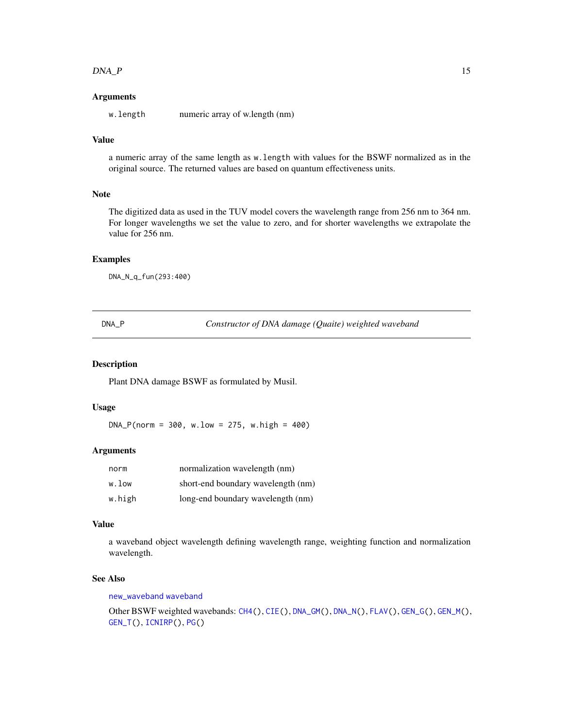#### <span id="page-14-0"></span> $DNA_{\rm v}P$  15

## Arguments

w.length numeric array of w.length (nm)

#### Value

a numeric array of the same length as w.length with values for the BSWF normalized as in the original source. The returned values are based on quantum effectiveness units.

#### Note

The digitized data as used in the TUV model covers the wavelength range from 256 nm to 364 nm. For longer wavelengths we set the value to zero, and for shorter wavelengths we extrapolate the value for 256 nm.

#### Examples

DNA\_N\_q\_fun(293:400)

<span id="page-14-1"></span>DNA\_P *Constructor of DNA damage (Quaite) weighted waveband*

## Description

Plant DNA damage BSWF as formulated by Musil.

## Usage

 $DNA_P(norm = 300, w.low = 275, w.high = 400)$ 

#### Arguments

| norm   | normalization wavelength (nm)      |
|--------|------------------------------------|
| w.low  | short-end boundary wavelength (nm) |
| w.high | long-end boundary wavelength (nm)  |

#### Value

a waveband object wavelength defining wavelength range, weighting function and normalization wavelength.

## See Also

[new\\_waveband](#page-0-0) [waveband](#page-0-0)

Other BSWF weighted wavebands: [CH4\(](#page-5-1)), [CIE\(](#page-7-1)), [DNA\\_GM\(](#page-11-1)), [DNA\\_N\(](#page-13-1)), [FLAV\(](#page-17-1)), [GEN\\_G\(](#page-18-1)), [GEN\\_M\(](#page-20-1)), [GEN\\_T\(](#page-22-1)), [ICNIRP\(](#page-25-1)), [PG\(](#page-32-1))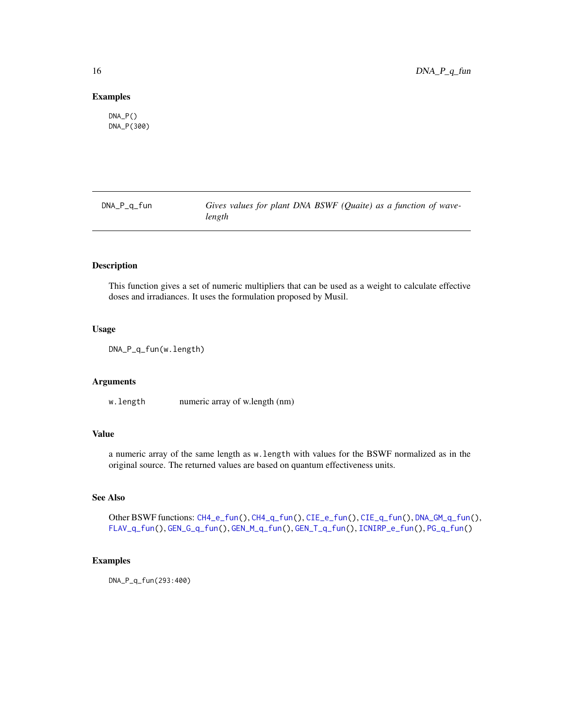#### Examples

 $DNA_P()$ DNA\_P(300)

<span id="page-15-1"></span>DNA\_P\_q\_fun *Gives values for plant DNA BSWF (Quaite) as a function of wavelength*

## Description

This function gives a set of numeric multipliers that can be used as a weight to calculate effective doses and irradiances. It uses the formulation proposed by Musil.

## Usage

DNA\_P\_q\_fun(w.length)

#### Arguments

w.length numeric array of w.length (nm)

## Value

a numeric array of the same length as w.length with values for the BSWF normalized as in the original source. The returned values are based on quantum effectiveness units.

#### See Also

Other BSWF functions: [CH4\\_e\\_fun\(](#page-6-1)), [CH4\\_q\\_fun\(](#page-7-2)), [CIE\\_e\\_fun\(](#page-10-1)), [CIE\\_q\\_fun\(](#page-10-2)), [DNA\\_GM\\_q\\_fun\(](#page-12-1)), [FLAV\\_q\\_fun\(](#page-17-2)), [GEN\\_G\\_q\\_fun\(](#page-19-1)), [GEN\\_M\\_q\\_fun\(](#page-21-1)), [GEN\\_T\\_q\\_fun\(](#page-23-1)), [ICNIRP\\_e\\_fun\(](#page-26-2)), [PG\\_q\\_fun\(](#page-33-1))

## Examples

DNA\_P\_q\_fun(293:400)

<span id="page-15-0"></span>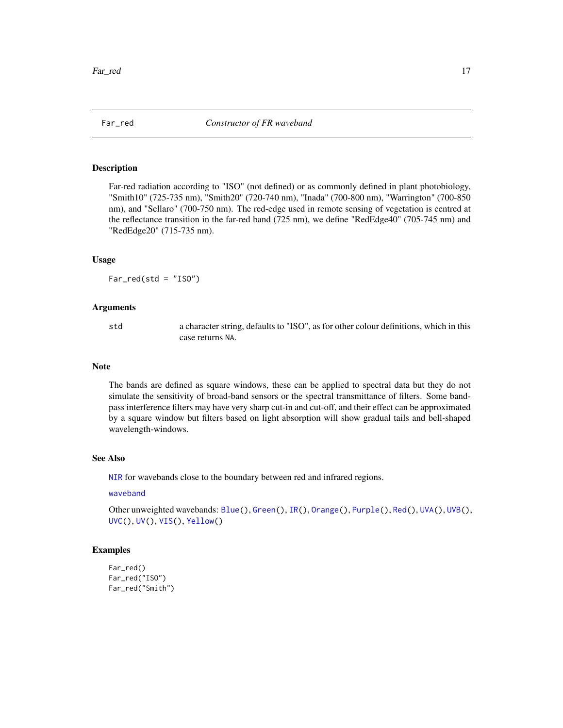<span id="page-16-1"></span><span id="page-16-0"></span>

Far-red radiation according to "ISO" (not defined) or as commonly defined in plant photobiology, "Smith10" (725-735 nm), "Smith20" (720-740 nm), "Inada" (700-800 nm), "Warrington" (700-850 nm), and "Sellaro" (700-750 nm). The red-edge used in remote sensing of vegetation is centred at the reflectance transition in the far-red band (725 nm), we define "RedEdge40" (705-745 nm) and "RedEdge20" (715-735 nm).

#### Usage

 $Far_{red}(std = "ISO")$ 

#### Arguments

std a character string, defaults to "ISO", as for other colour definitions, which in this case returns NA.

#### Note

The bands are defined as square windows, these can be applied to spectral data but they do not simulate the sensitivity of broad-band sensors or the spectral transmittance of filters. Some bandpass interference filters may have very sharp cut-in and cut-off, and their effect can be approximated by a square window but filters based on light absorption will show gradual tails and bell-shaped wavelength-windows.

#### See Also

[NIR](#page-26-3) for wavebands close to the boundary between red and infrared regions.

#### [waveband](#page-0-0)

Other unweighted wavebands: [Blue\(](#page-4-1)), [Green\(](#page-24-1)), [IR\(](#page-26-1)), [Orange\(](#page-31-1)), [Purple\(](#page-35-1)), [Red\(](#page-36-1)), [UVA\(](#page-39-1)), [UVB\(](#page-40-1)), [UVC\(](#page-41-1)), [UV\(](#page-38-1)), [VIS\(](#page-43-1)), [Yellow\(](#page-45-1))

#### Examples

```
Far_red()
Far_red("ISO")
Far_red("Smith")
```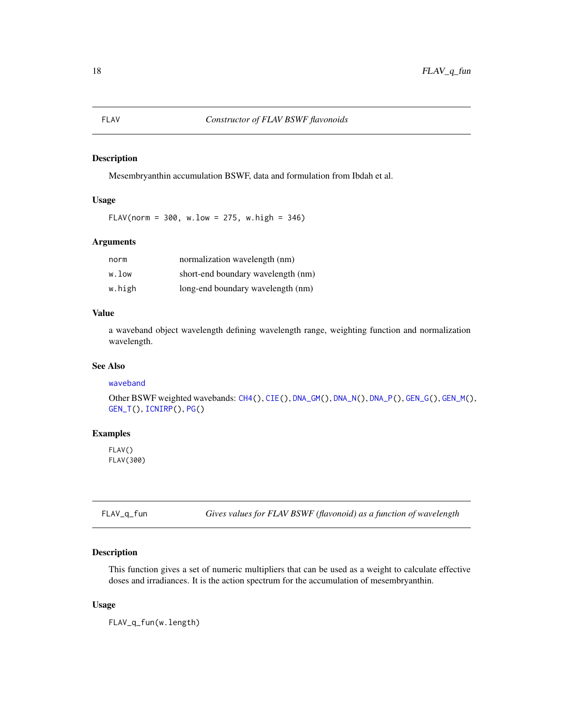<span id="page-17-1"></span><span id="page-17-0"></span>Mesembryanthin accumulation BSWF, data and formulation from Ibdah et al.

## Usage

 $FLAV(norm = 300, w.low = 275, w.high = 346)$ 

## Arguments

| norm   | normalization wavelength (nm)      |
|--------|------------------------------------|
| w.low  | short-end boundary wavelength (nm) |
| w.high | long-end boundary wavelength (nm)  |

## Value

a waveband object wavelength defining wavelength range, weighting function and normalization wavelength.

## See Also

#### [waveband](#page-0-0)

Other BSWF weighted wavebands: [CH4\(](#page-5-1)), [CIE\(](#page-7-1)), [DNA\\_GM\(](#page-11-1)), [DNA\\_N\(](#page-13-1)), [DNA\\_P\(](#page-14-1)), [GEN\\_G\(](#page-18-1)), [GEN\\_M\(](#page-20-1)), [GEN\\_T\(](#page-22-1)), [ICNIRP\(](#page-25-1)), [PG\(](#page-32-1))

#### Examples

FLAV() FLAV(300)

<span id="page-17-2"></span>FLAV\_q\_fun *Gives values for FLAV BSWF (flavonoid) as a function of wavelength*

## Description

This function gives a set of numeric multipliers that can be used as a weight to calculate effective doses and irradiances. It is the action spectrum for the accumulation of mesembryanthin.

#### Usage

FLAV\_q\_fun(w.length)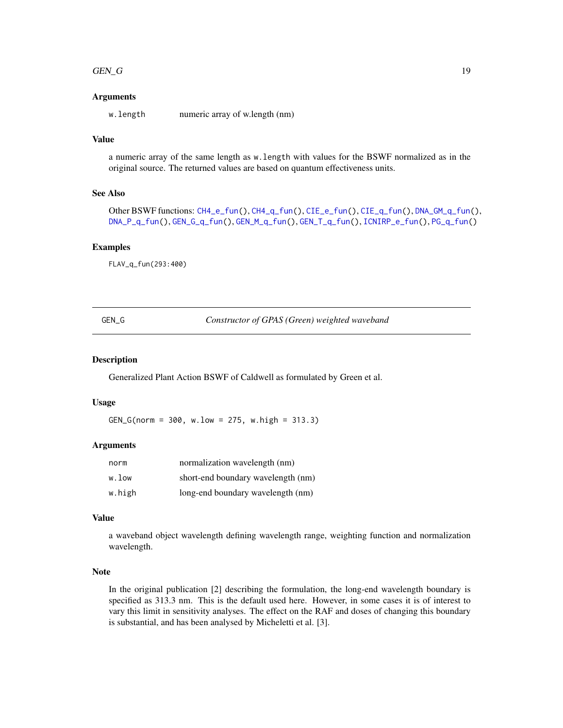#### <span id="page-18-0"></span> $GEN\_G$  and the set of  $N=19$

## Arguments

w.length numeric array of w.length (nm)

## Value

a numeric array of the same length as w.length with values for the BSWF normalized as in the original source. The returned values are based on quantum effectiveness units.

## See Also

```
Other BSWF functions: CH4_e_fun(), CH4_q_fun(), CIE_e_fun(), CIE_q_fun(), DNA_GM_q_fun(),
DNA_P_q_fun(), GEN_G_q_fun(), GEN_M_q_fun(), GEN_T_q_fun(), ICNIRP_e_fun(), PG_q_fun()
```
#### Examples

FLAV\_q\_fun(293:400)

<span id="page-18-1"></span>GEN\_G *Constructor of GPAS (Green) weighted waveband*

## Description

Generalized Plant Action BSWF of Caldwell as formulated by Green et al.

#### Usage

GEN\_G(norm = 300, w.low = 275, w.high = 313.3)

## Arguments

| norm   | normalization wavelength (nm)      |
|--------|------------------------------------|
| w.low  | short-end boundary wavelength (nm) |
| w.high | long-end boundary wavelength (nm)  |

## Value

a waveband object wavelength defining wavelength range, weighting function and normalization wavelength.

## Note

In the original publication [2] describing the formulation, the long-end wavelength boundary is specified as 313.3 nm. This is the default used here. However, in some cases it is of interest to vary this limit in sensitivity analyses. The effect on the RAF and doses of changing this boundary is substantial, and has been analysed by Micheletti et al. [3].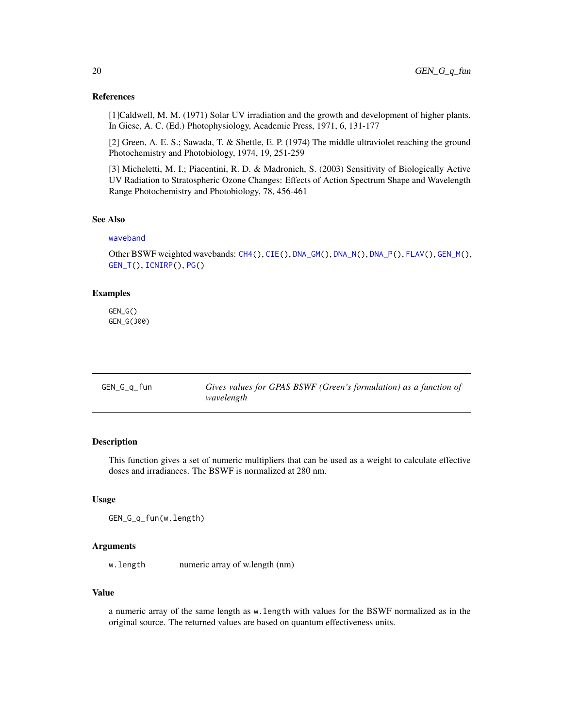#### <span id="page-19-0"></span>References

[1]Caldwell, M. M. (1971) Solar UV irradiation and the growth and development of higher plants. In Giese, A. C. (Ed.) Photophysiology, Academic Press, 1971, 6, 131-177

[2] Green, A. E. S.; Sawada, T. & Shettle, E. P. (1974) The middle ultraviolet reaching the ground Photochemistry and Photobiology, 1974, 19, 251-259

[3] Micheletti, M. I.; Piacentini, R. D. & Madronich, S. (2003) Sensitivity of Biologically Active UV Radiation to Stratospheric Ozone Changes: Effects of Action Spectrum Shape and Wavelength Range Photochemistry and Photobiology, 78, 456-461

## See Also

#### [waveband](#page-0-0)

Other BSWF weighted wavebands: [CH4\(](#page-5-1)), [CIE\(](#page-7-1)), [DNA\\_GM\(](#page-11-1)), [DNA\\_N\(](#page-13-1)), [DNA\\_P\(](#page-14-1)), [FLAV\(](#page-17-1)), [GEN\\_M\(](#page-20-1)), [GEN\\_T\(](#page-22-1)), [ICNIRP\(](#page-25-1)), [PG\(](#page-32-1))

#### Examples

GEN\_G() GEN\_G(300)

<span id="page-19-1"></span>

| GEN_G_q_fun | Gives values for GPAS BSWF (Green's formulation) as a function of |
|-------------|-------------------------------------------------------------------|
|             | wavelength                                                        |

#### Description

This function gives a set of numeric multipliers that can be used as a weight to calculate effective doses and irradiances. The BSWF is normalized at 280 nm.

#### Usage

GEN\_G\_q\_fun(w.length)

#### Arguments

w.length numeric array of w.length (nm)

## Value

a numeric array of the same length as w.length with values for the BSWF normalized as in the original source. The returned values are based on quantum effectiveness units.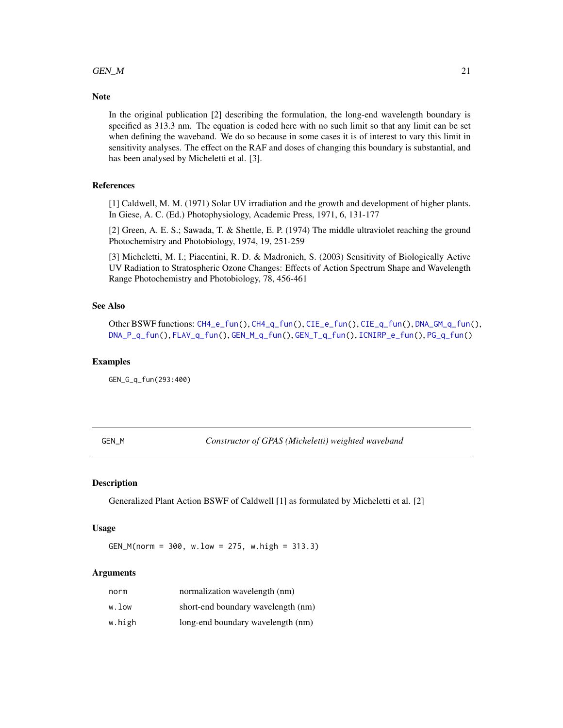#### <span id="page-20-0"></span> $GEN\_M$  21

#### **Note**

In the original publication [2] describing the formulation, the long-end wavelength boundary is specified as 313.3 nm. The equation is coded here with no such limit so that any limit can be set when defining the waveband. We do so because in some cases it is of interest to vary this limit in sensitivity analyses. The effect on the RAF and doses of changing this boundary is substantial, and has been analysed by Micheletti et al. [3].

## References

[1] Caldwell, M. M. (1971) Solar UV irradiation and the growth and development of higher plants. In Giese, A. C. (Ed.) Photophysiology, Academic Press, 1971, 6, 131-177

[2] Green, A. E. S.; Sawada, T. & Shettle, E. P. (1974) The middle ultraviolet reaching the ground Photochemistry and Photobiology, 1974, 19, 251-259

[3] Micheletti, M. I.; Piacentini, R. D. & Madronich, S. (2003) Sensitivity of Biologically Active UV Radiation to Stratospheric Ozone Changes: Effects of Action Spectrum Shape and Wavelength Range Photochemistry and Photobiology, 78, 456-461

## See Also

Other BSWF functions: [CH4\\_e\\_fun\(](#page-6-1)), [CH4\\_q\\_fun\(](#page-7-2)), [CIE\\_e\\_fun\(](#page-10-1)), [CIE\\_q\\_fun\(](#page-10-2)), [DNA\\_GM\\_q\\_fun\(](#page-12-1)), [DNA\\_P\\_q\\_fun\(](#page-15-1)), [FLAV\\_q\\_fun\(](#page-17-2)), [GEN\\_M\\_q\\_fun\(](#page-21-1)), [GEN\\_T\\_q\\_fun\(](#page-23-1)), [ICNIRP\\_e\\_fun\(](#page-26-2)), [PG\\_q\\_fun\(](#page-33-1))

#### Examples

GEN\_G\_q\_fun(293:400)

<span id="page-20-1"></span>GEN\_M *Constructor of GPAS (Micheletti) weighted waveband*

#### Description

Generalized Plant Action BSWF of Caldwell [1] as formulated by Micheletti et al. [2]

#### Usage

GEN\_M(norm = 300, w.low = 275, w.high = 313.3)

#### Arguments

| norm   | normalization wavelength (nm)      |
|--------|------------------------------------|
| w.low  | short-end boundary wavelength (nm) |
| w.high | long-end boundary wavelength (nm)  |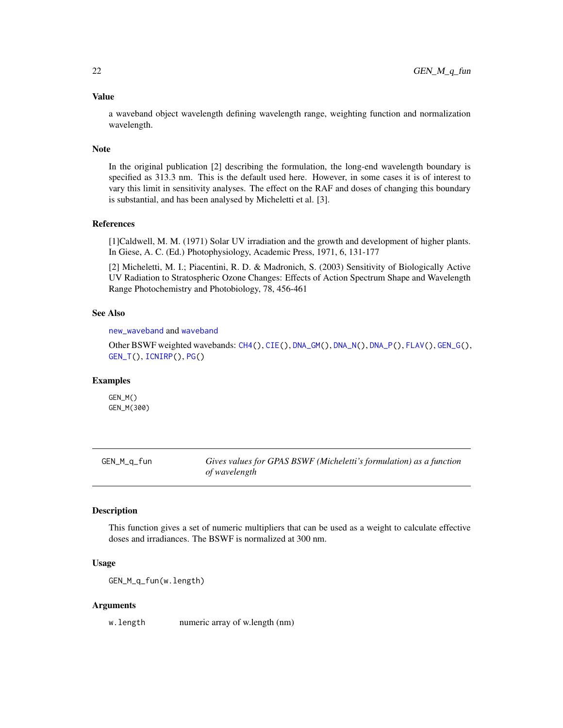#### Value

a waveband object wavelength defining wavelength range, weighting function and normalization wavelength.

#### Note

In the original publication [2] describing the formulation, the long-end wavelength boundary is specified as 313.3 nm. This is the default used here. However, in some cases it is of interest to vary this limit in sensitivity analyses. The effect on the RAF and doses of changing this boundary is substantial, and has been analysed by Micheletti et al. [3].

## References

[1]Caldwell, M. M. (1971) Solar UV irradiation and the growth and development of higher plants. In Giese, A. C. (Ed.) Photophysiology, Academic Press, 1971, 6, 131-177

[2] Micheletti, M. I.; Piacentini, R. D. & Madronich, S. (2003) Sensitivity of Biologically Active UV Radiation to Stratospheric Ozone Changes: Effects of Action Spectrum Shape and Wavelength Range Photochemistry and Photobiology, 78, 456-461

## See Also

[new\\_waveband](#page-0-0) and [waveband](#page-0-0)

Other BSWF weighted wavebands: [CH4\(](#page-5-1)), [CIE\(](#page-7-1)), [DNA\\_GM\(](#page-11-1)), [DNA\\_N\(](#page-13-1)), [DNA\\_P\(](#page-14-1)), [FLAV\(](#page-17-1)), [GEN\\_G\(](#page-18-1)), [GEN\\_T\(](#page-22-1)), [ICNIRP\(](#page-25-1)), [PG\(](#page-32-1))

## Examples

GEN\_M() GEN\_M(300)

<span id="page-21-1"></span>GEN\_M\_q\_fun *Gives values for GPAS BSWF (Micheletti's formulation) as a function of wavelength*

## **Description**

This function gives a set of numeric multipliers that can be used as a weight to calculate effective doses and irradiances. The BSWF is normalized at 300 nm.

## Usage

GEN\_M\_q\_fun(w.length)

#### Arguments

w.length numeric array of w.length (nm)

<span id="page-21-0"></span>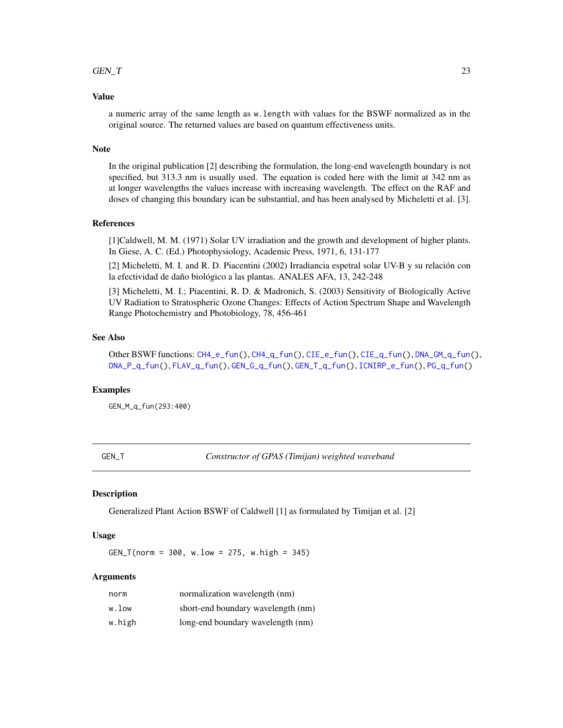## <span id="page-22-0"></span> $GEN_T$  23

## Value

a numeric array of the same length as w.length with values for the BSWF normalized as in the original source. The returned values are based on quantum effectiveness units.

#### Note

In the original publication [2] describing the formulation, the long-end wavelength boundary is not specified, but 313.3 nm is usually used. The equation is coded here with the limit at 342 nm as at longer wavelengths the values increase with increasing wavelength. The effect on the RAF and doses of changing this boundary ican be substantial, and has been analysed by Micheletti et al. [3].

## References

[1]Caldwell, M. M. (1971) Solar UV irradiation and the growth and development of higher plants. In Giese, A. C. (Ed.) Photophysiology, Academic Press, 1971, 6, 131-177

[2] Micheletti, M. I. and R. D. Piacentini (2002) Irradiancia espetral solar UV-B y su relación con la efectividad de daño biológico a las plantas. ANALES AFA, 13, 242-248

[3] Micheletti, M. I.; Piacentini, R. D. & Madronich, S. (2003) Sensitivity of Biologically Active UV Radiation to Stratospheric Ozone Changes: Effects of Action Spectrum Shape and Wavelength Range Photochemistry and Photobiology, 78, 456-461

## See Also

Other BSWF functions: [CH4\\_e\\_fun\(](#page-6-1)), [CH4\\_q\\_fun\(](#page-7-2)), [CIE\\_e\\_fun\(](#page-10-1)), [CIE\\_q\\_fun\(](#page-10-2)), [DNA\\_GM\\_q\\_fun\(](#page-12-1)), [DNA\\_P\\_q\\_fun\(](#page-15-1)), [FLAV\\_q\\_fun\(](#page-17-2)), [GEN\\_G\\_q\\_fun\(](#page-19-1)), [GEN\\_T\\_q\\_fun\(](#page-23-1)), [ICNIRP\\_e\\_fun\(](#page-26-2)), [PG\\_q\\_fun\(](#page-33-1))

#### Examples

GEN\_M\_q\_fun(293:400)

<span id="page-22-1"></span>GEN\_T *Constructor of GPAS (Timijan) weighted waveband*

## **Description**

Generalized Plant Action BSWF of Caldwell [1] as formulated by Timijan et al. [2]

#### Usage

 $GEN_T(norm = 300, w.low = 275, w.high = 345)$ 

## Arguments

| norm   | normalization wavelength (nm)      |
|--------|------------------------------------|
| w.low  | short-end boundary wavelength (nm) |
| w.high | long-end boundary wavelength (nm)  |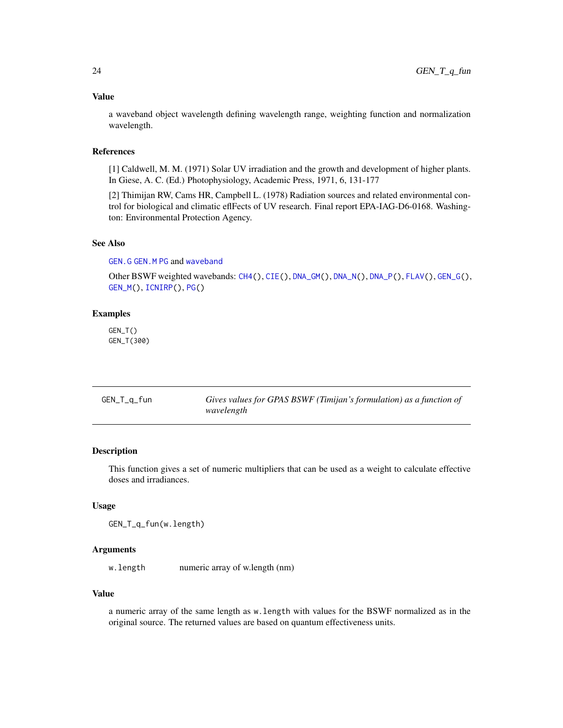## <span id="page-23-0"></span>Value

a waveband object wavelength defining wavelength range, weighting function and normalization wavelength.

## References

[1] Caldwell, M. M. (1971) Solar UV irradiation and the growth and development of higher plants. In Giese, A. C. (Ed.) Photophysiology, Academic Press, 1971, 6, 131-177

[2] Thimijan RW, Cams HR, Campbell L. (1978) Radiation sources and related environmental control for biological and climatic eflFects of UV research. Final report EPA-IAG-D6-0168. Washington: Environmental Protection Agency.

## See Also

[GEN.G](#page-0-0) [GEN.M](#page-0-0) [PG](#page-32-1) and [waveband](#page-0-0)

Other BSWF weighted wavebands: [CH4\(](#page-5-1)), [CIE\(](#page-7-1)), [DNA\\_GM\(](#page-11-1)), [DNA\\_N\(](#page-13-1)), [DNA\\_P\(](#page-14-1)), [FLAV\(](#page-17-1)), [GEN\\_G\(](#page-18-1)), [GEN\\_M\(](#page-20-1)), [ICNIRP\(](#page-25-1)), [PG\(](#page-32-1))

## Examples

GEN\_T() GEN\_T(300)

<span id="page-23-1"></span>

| GEN_T_q_fun | Gives values for GPAS BSWF (Timijan's formulation) as a function of |
|-------------|---------------------------------------------------------------------|
|             | wavelength                                                          |

## Description

This function gives a set of numeric multipliers that can be used as a weight to calculate effective doses and irradiances.

## Usage

GEN\_T\_q\_fun(w.length)

#### Arguments

w.length numeric array of w.length (nm)

## Value

a numeric array of the same length as w.length with values for the BSWF normalized as in the original source. The returned values are based on quantum effectiveness units.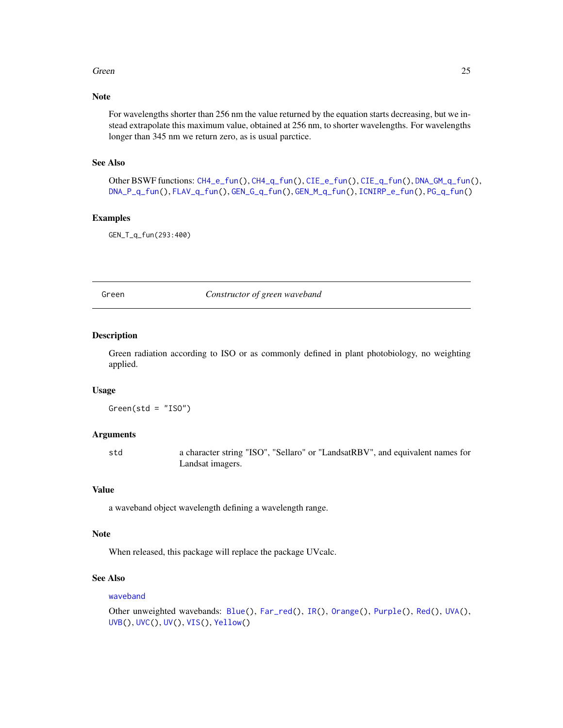#### <span id="page-24-0"></span>Green 25

## Note

For wavelengths shorter than 256 nm the value returned by the equation starts decreasing, but we instead extrapolate this maximum value, obtained at 256 nm, to shorter wavelengths. For wavelengths longer than 345 nm we return zero, as is usual parctice.

## See Also

Other BSWF functions: [CH4\\_e\\_fun\(](#page-6-1)), [CH4\\_q\\_fun\(](#page-7-2)), [CIE\\_e\\_fun\(](#page-10-1)), [CIE\\_q\\_fun\(](#page-10-2)), [DNA\\_GM\\_q\\_fun\(](#page-12-1)), [DNA\\_P\\_q\\_fun\(](#page-15-1)), [FLAV\\_q\\_fun\(](#page-17-2)), [GEN\\_G\\_q\\_fun\(](#page-19-1)), [GEN\\_M\\_q\\_fun\(](#page-21-1)), [ICNIRP\\_e\\_fun\(](#page-26-2)), [PG\\_q\\_fun\(](#page-33-1))

## Examples

GEN\_T\_q\_fun(293:400)

<span id="page-24-1"></span>Green *Constructor of green waveband*

## Description

Green radiation according to ISO or as commonly defined in plant photobiology, no weighting applied.

#### Usage

 $Green(std = "ISO")$ 

## Arguments

std a character string "ISO", "Sellaro" or "LandsatRBV", and equivalent names for Landsat imagers.

## Value

a waveband object wavelength defining a wavelength range.

#### Note

When released, this package will replace the package UVcalc.

## See Also

#### [waveband](#page-0-0)

```
Other unweighted wavebands: Blue(), Far_red(), IR(), Orange(), Purple(), Red(), UVA(),
UVB(), UVC(), UV(), VIS(), Yellow()
```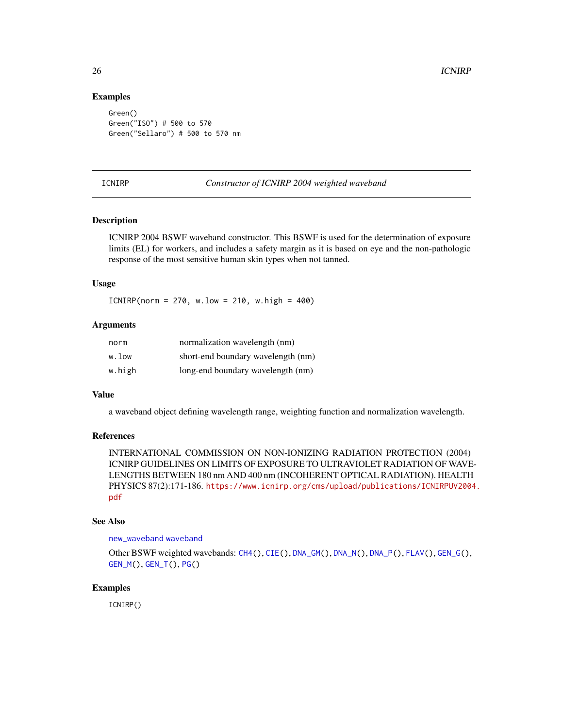## Examples

```
Green()
Green("ISO") # 500 to 570
Green("Sellaro") # 500 to 570 nm
```
<span id="page-25-1"></span>ICNIRP *Constructor of ICNIRP 2004 weighted waveband*

## Description

ICNIRP 2004 BSWF waveband constructor. This BSWF is used for the determination of exposure limits (EL) for workers, and includes a safety margin as it is based on eye and the non-pathologic response of the most sensitive human skin types when not tanned.

## Usage

 $ICNIRP(norm = 270, w.low = 210, w.high = 400)$ 

## Arguments

| norm   | normalization wavelength (nm)      |
|--------|------------------------------------|
| w.low  | short-end boundary wavelength (nm) |
| w.high | long-end boundary wavelength (nm)  |

## Value

a waveband object defining wavelength range, weighting function and normalization wavelength.

## References

INTERNATIONAL COMMISSION ON NON-IONIZING RADIATION PROTECTION (2004) ICNIRP GUIDELINES ON LIMITS OF EXPOSURE TO ULTRAVIOLET RADIATION OF WAVE-LENGTHS BETWEEN 180 nm AND 400 nm (INCOHERENT OPTICAL RADIATION). HEALTH PHYSICS 87(2):171-186. [https://www.icnirp.org/cms/upload/publications/ICNIRPUV200](https://www.icnirp.org/cms/upload/publications/ICNIRPUV2004.pdf)4. [pdf](https://www.icnirp.org/cms/upload/publications/ICNIRPUV2004.pdf)

## See Also

[new\\_waveband](#page-0-0) [waveband](#page-0-0)

Other BSWF weighted wavebands: [CH4\(](#page-5-1)), [CIE\(](#page-7-1)), [DNA\\_GM\(](#page-11-1)), [DNA\\_N\(](#page-13-1)), [DNA\\_P\(](#page-14-1)), [FLAV\(](#page-17-1)), [GEN\\_G\(](#page-18-1)), [GEN\\_M\(](#page-20-1)), [GEN\\_T\(](#page-22-1)), [PG\(](#page-32-1))

## Examples

ICNIRP()

<span id="page-25-0"></span>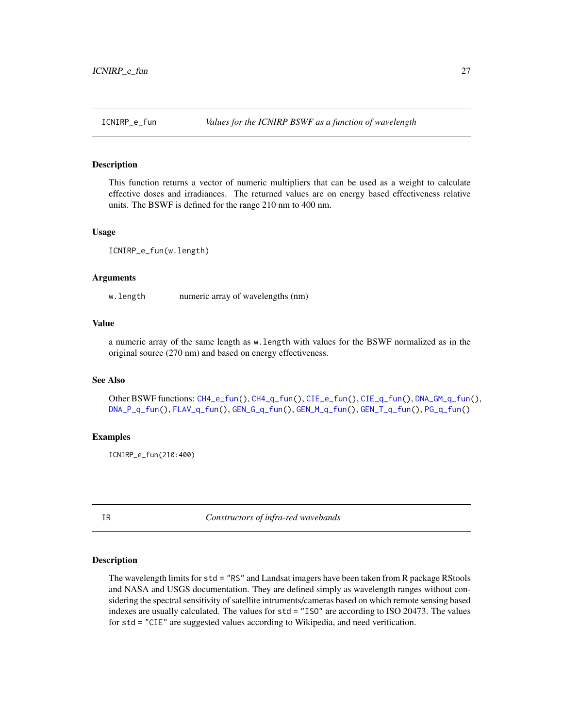<span id="page-26-2"></span><span id="page-26-0"></span>

This function returns a vector of numeric multipliers that can be used as a weight to calculate effective doses and irradiances. The returned values are on energy based effectiveness relative units. The BSWF is defined for the range 210 nm to 400 nm.

#### Usage

ICNIRP\_e\_fun(w.length)

### Arguments

w. length numeric array of wavelengths (nm)

## Value

a numeric array of the same length as w.length with values for the BSWF normalized as in the original source (270 nm) and based on energy effectiveness.

#### See Also

Other BSWF functions: [CH4\\_e\\_fun\(](#page-6-1)), [CH4\\_q\\_fun\(](#page-7-2)), [CIE\\_e\\_fun\(](#page-10-1)), [CIE\\_q\\_fun\(](#page-10-2)), [DNA\\_GM\\_q\\_fun\(](#page-12-1)), [DNA\\_P\\_q\\_fun\(](#page-15-1)), [FLAV\\_q\\_fun\(](#page-17-2)), [GEN\\_G\\_q\\_fun\(](#page-19-1)), [GEN\\_M\\_q\\_fun\(](#page-21-1)), [GEN\\_T\\_q\\_fun\(](#page-23-1)), [PG\\_q\\_fun\(](#page-33-1))

#### Examples

ICNIRP\_e\_fun(210:400)

<span id="page-26-1"></span>IR *Constructors of infra-red wavebands*

#### <span id="page-26-3"></span>Description

The wavelength limits for std = "RS" and Landsat imagers have been taken from R package RStools and NASA and USGS documentation. They are defined simply as wavelength ranges without considering the spectral sensitivity of satellite intruments/cameras based on which remote sensing based indexes are usually calculated. The values for std = "ISO" are according to ISO 20473. The values for std = "CIE" are suggested values according to Wikipedia, and need verification.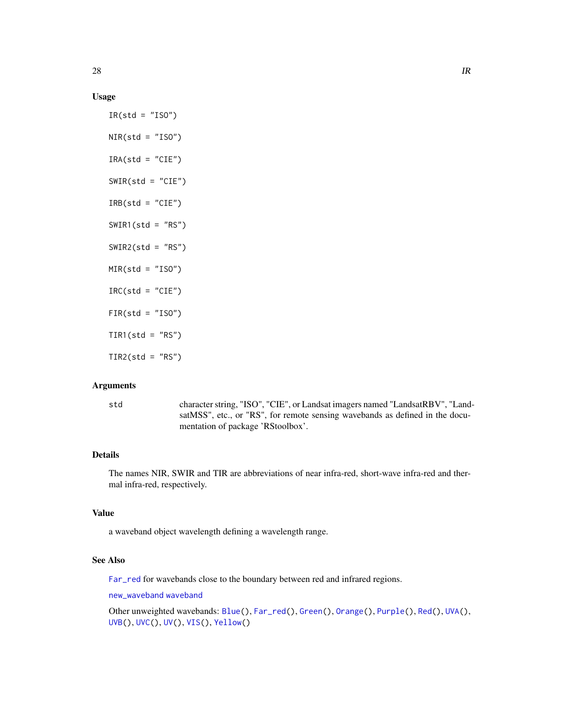## <span id="page-27-0"></span>Usage

```
IR(std = "ISO")NIR(std = "ISO")IRA(std = "CIE")SWIR(std = "CIE")IRB(stat = "CIE")SWIR1(std = "RS")SWIR2(std = "RS")MIR(std = "ISO")IRC(std = "CIE")FIR(std = "ISO")TIR1(std = "RS")TIR2(std = "RS")
```
#### Arguments

std character string, "ISO", "CIE", or Landsat imagers named "LandsatRBV", "LandsatMSS", etc., or "RS", for remote sensing wavebands as defined in the documentation of package 'RStoolbox'.

## Details

The names NIR, SWIR and TIR are abbreviations of near infra-red, short-wave infra-red and thermal infra-red, respectively.

## Value

a waveband object wavelength defining a wavelength range.

## See Also

[Far\\_red](#page-16-1) for wavebands close to the boundary between red and infrared regions.

[new\\_waveband](#page-0-0) [waveband](#page-0-0)

Other unweighted wavebands: [Blue\(](#page-4-1)), [Far\\_red\(](#page-16-1)), [Green\(](#page-24-1)), [Orange\(](#page-31-1)), [Purple\(](#page-35-1)), [Red\(](#page-36-1)), [UVA\(](#page-39-1)), [UVB\(](#page-40-1)), [UVC\(](#page-41-1)), [UV\(](#page-38-1)), [VIS\(](#page-43-1)), [Yellow\(](#page-45-1))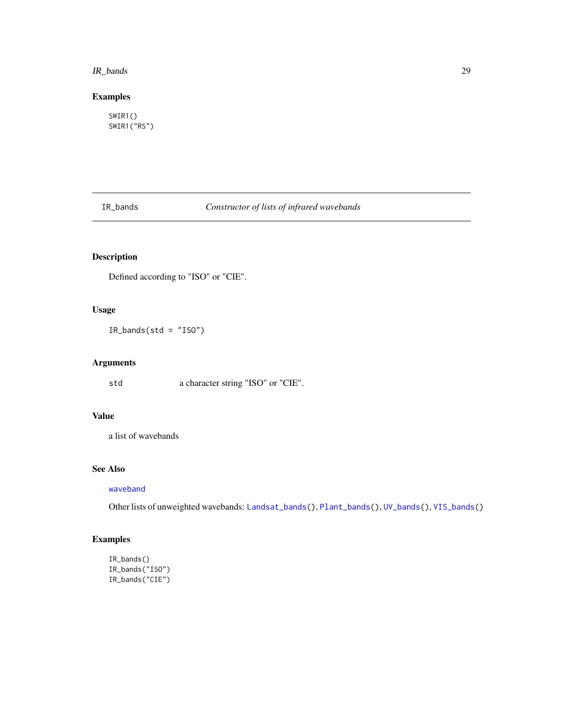#### <span id="page-28-0"></span>IR\_bands 29

## Examples

SWIR1() SWIR1("RS")

<span id="page-28-1"></span>IR\_bands *Constructor of lists of infrared wavebands*

## Description

Defined according to "ISO" or "CIE".

## Usage

IR\_bands(std = "ISO")

## Arguments

std a character string "ISO" or "CIE".

## Value

a list of wavebands

## See Also

[waveband](#page-0-0)

Other lists of unweighted wavebands: [Landsat\\_bands\(](#page-29-1)), [Plant\\_bands\(](#page-35-2)), [UV\\_bands\(](#page-43-2)), [VIS\\_bands\(](#page-44-1))

## Examples

```
IR_bands()
IR_bands("ISO")
IR_bands("CIE")
```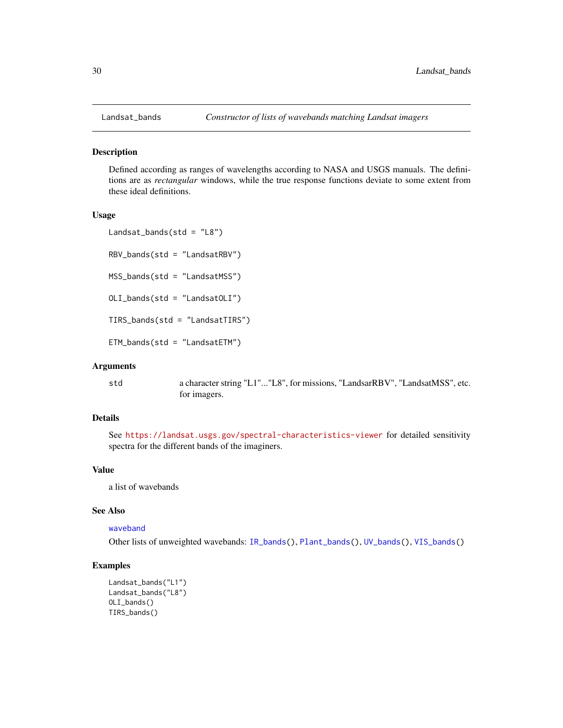<span id="page-29-1"></span><span id="page-29-0"></span>

Defined according as ranges of wavelengths according to NASA and USGS manuals. The definitions are as *rectangular* windows, while the true response functions deviate to some extent from these ideal definitions.

#### Usage

```
Landsat_bands(std = "L8")
RBV_bands(std = "LandsatRBV")MSS_bands(std = "LandsatMSS")
OLI_bands(std = "LandsatOLI")
TIRS_bands(std = "LandsatTIRS")
ETM_bands(std = "LandsatETM")
```
#### Arguments

std a character string "L1"..."L8", for missions, "LandsarRBV", "LandsatMSS", etc. for imagers.

## Details

See <https://landsat.usgs.gov/spectral-characteristics-viewer> for detailed sensitivity spectra for the different bands of the imaginers.

## Value

a list of wavebands

## See Also

#### [waveband](#page-0-0)

Other lists of unweighted wavebands: [IR\\_bands\(](#page-28-1)), [Plant\\_bands\(](#page-35-2)), [UV\\_bands\(](#page-43-2)), [VIS\\_bands\(](#page-44-1))

## Examples

```
Landsat_bands("L1")
Landsat_bands("L8")
OLI_bands()
TIRS_bands()
```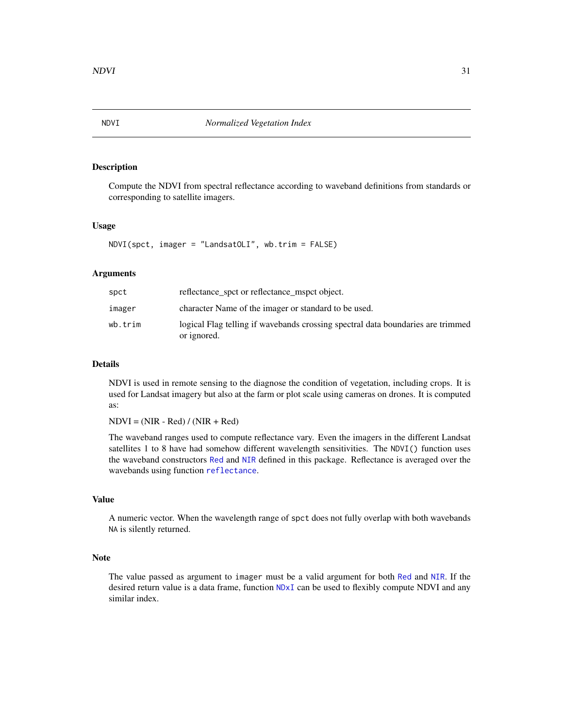<span id="page-30-0"></span>Compute the NDVI from spectral reflectance according to waveband definitions from standards or corresponding to satellite imagers.

#### Usage

NDVI(spct, imager = "LandsatOLI", wb.trim = FALSE)

## Arguments

| spct    | reflectance_spct or reflectance_mspct object.                                                  |
|---------|------------------------------------------------------------------------------------------------|
| imager  | character Name of the imager or standard to be used.                                           |
| wb.trim | logical Flag telling if wavebands crossing spectral data boundaries are trimmed<br>or ignored. |

## Details

NDVI is used in remote sensing to the diagnose the condition of vegetation, including crops. It is used for Landsat imagery but also at the farm or plot scale using cameras on drones. It is computed as:

 $NDVI = (NIR - Red) / (NIR + Red)$ 

The waveband ranges used to compute reflectance vary. Even the imagers in the different Landsat satellites 1 to 8 have had somehow different wavelength sensitivities. The NDVI() function uses the waveband constructors [Red](#page-36-1) and [NIR](#page-26-3) defined in this package. Reflectance is averaged over the wavebands using function [reflectance](#page-0-0).

#### Value

A numeric vector. When the wavelength range of spct does not fully overlap with both wavebands NA is silently returned.

#### Note

The value passed as argument to imager must be a valid argument for both [Red](#page-36-1) and [NIR](#page-26-3). If the desired return value is a data frame, function [NDxI](#page-0-0) can be used to flexibly compute NDVI and any similar index.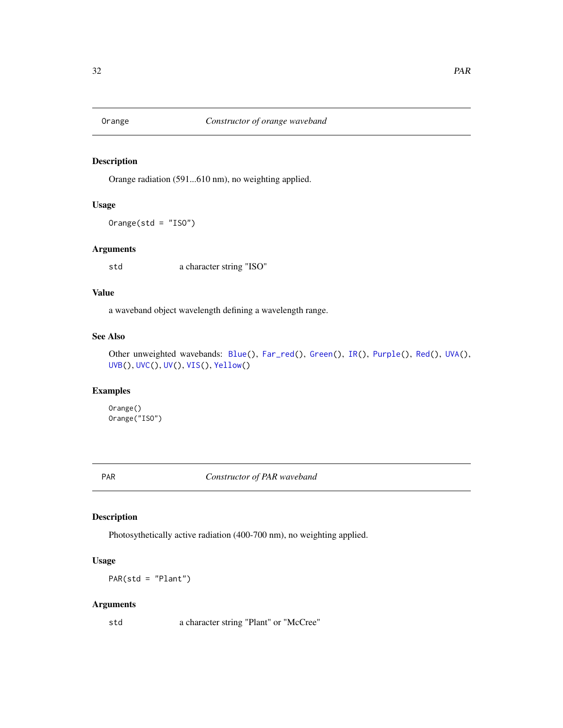<span id="page-31-1"></span><span id="page-31-0"></span>

Orange radiation (591...610 nm), no weighting applied.

## Usage

Orange(std = "ISO")

## Arguments

std a character string "ISO"

## Value

a waveband object wavelength defining a wavelength range.

## See Also

Other unweighted wavebands: [Blue\(](#page-4-1)), [Far\\_red\(](#page-16-1)), [Green\(](#page-24-1)), [IR\(](#page-26-1)), [Purple\(](#page-35-1)), [Red\(](#page-36-1)), [UVA\(](#page-39-1)), [UVB\(](#page-40-1)), [UVC\(](#page-41-1)), [UV\(](#page-38-1)), [VIS\(](#page-43-1)), [Yellow\(](#page-45-1))

## Examples

Orange() Orange("ISO")

PAR *Constructor of PAR waveband*

## Description

Photosythetically active radiation (400-700 nm), no weighting applied.

## Usage

PAR(std = "Plant")

## Arguments

std a character string "Plant" or "McCree"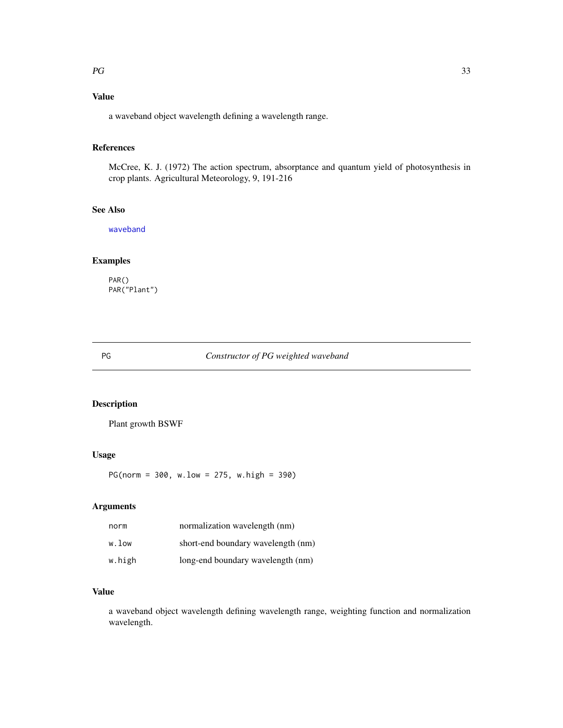## <span id="page-32-0"></span>Value

a waveband object wavelength defining a wavelength range.

## References

McCree, K. J. (1972) The action spectrum, absorptance and quantum yield of photosynthesis in crop plants. Agricultural Meteorology, 9, 191-216

## See Also

[waveband](#page-0-0)

## Examples

PAR() PAR("Plant")

## <span id="page-32-1"></span>PG *Constructor of PG weighted waveband*

## Description

Plant growth BSWF

## Usage

PG(norm = 300, w.low = 275, w.high = 390)

## Arguments

| norm   | normalization wavelength (nm)      |
|--------|------------------------------------|
| w.low  | short-end boundary wavelength (nm) |
| w.high | long-end boundary wavelength (nm)  |

## Value

a waveband object wavelength defining wavelength range, weighting function and normalization wavelength.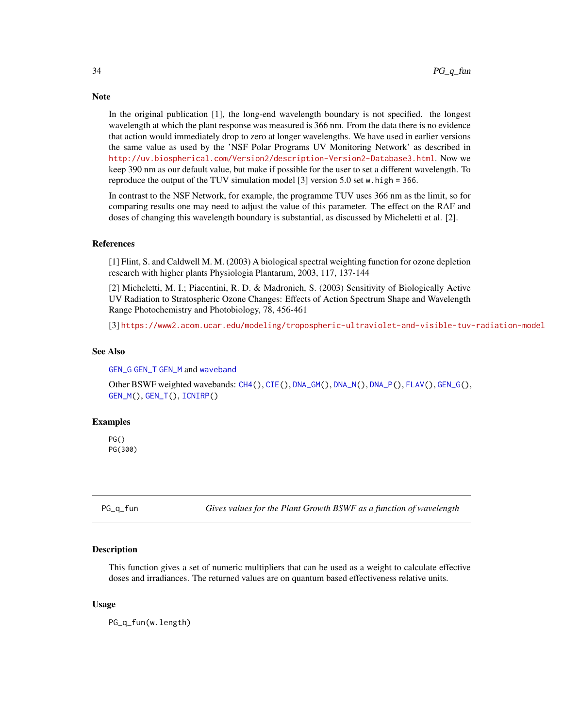In the original publication [1], the long-end wavelength boundary is not specified. the longest wavelength at which the plant response was measured is 366 nm. From the data there is no evidence that action would immediately drop to zero at longer wavelengths. We have used in earlier versions the same value as used by the 'NSF Polar Programs UV Monitoring Network' as described in <http://uv.biospherical.com/Version2/description-Version2-Database3.html>. Now we keep 390 nm as our default value, but make if possible for the user to set a different wavelength. To reproduce the output of the TUV simulation model [3] version 5.0 set w.high = 366.

In contrast to the NSF Network, for example, the programme TUV uses 366 nm as the limit, so for comparing results one may need to adjust the value of this parameter. The effect on the RAF and doses of changing this wavelength boundary is substantial, as discussed by Micheletti et al. [2].

## References

[1] Flint, S. and Caldwell M. M. (2003) A biological spectral weighting function for ozone depletion research with higher plants Physiologia Plantarum, 2003, 117, 137-144

[2] Micheletti, M. I.; Piacentini, R. D. & Madronich, S. (2003) Sensitivity of Biologically Active UV Radiation to Stratospheric Ozone Changes: Effects of Action Spectrum Shape and Wavelength Range Photochemistry and Photobiology, 78, 456-461

[3] <https://www2.acom.ucar.edu/modeling/tropospheric-ultraviolet-and-visible-tuv-radiation-model>

#### See Also

[GEN\\_G](#page-18-1) [GEN\\_T](#page-22-1) [GEN\\_M](#page-20-1) and [waveband](#page-0-0)

Other BSWF weighted wavebands: [CH4\(](#page-5-1)), [CIE\(](#page-7-1)), [DNA\\_GM\(](#page-11-1)), [DNA\\_N\(](#page-13-1)), [DNA\\_P\(](#page-14-1)), [FLAV\(](#page-17-1)), [GEN\\_G\(](#page-18-1)), [GEN\\_M\(](#page-20-1)), [GEN\\_T\(](#page-22-1)), [ICNIRP\(](#page-25-1))

#### Examples

PG() PG(300)

<span id="page-33-1"></span>PG\_q\_fun *Gives values for the Plant Growth BSWF as a function of wavelength*

#### Description

This function gives a set of numeric multipliers that can be used as a weight to calculate effective doses and irradiances. The returned values are on quantum based effectiveness relative units.

#### Usage

PG\_q\_fun(w.length)

## <span id="page-33-0"></span>**Note**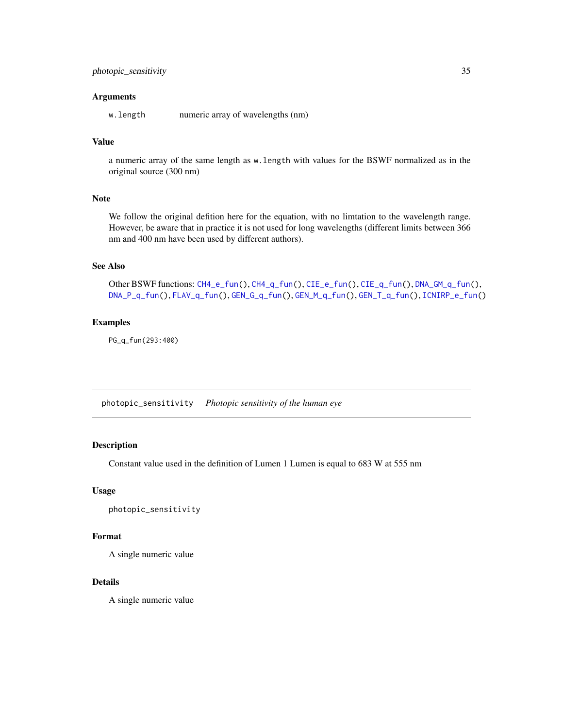#### <span id="page-34-0"></span>**Arguments**

w.length numeric array of wavelengths (nm)

## Value

a numeric array of the same length as w.length with values for the BSWF normalized as in the original source (300 nm)

## Note

We follow the original defition here for the equation, with no limtation to the wavelength range. However, be aware that in practice it is not used for long wavelengths (different limits between 366 nm and 400 nm have been used by different authors).

## See Also

Other BSWF functions: [CH4\\_e\\_fun\(](#page-6-1)), [CH4\\_q\\_fun\(](#page-7-2)), [CIE\\_e\\_fun\(](#page-10-1)), [CIE\\_q\\_fun\(](#page-10-2)), [DNA\\_GM\\_q\\_fun\(](#page-12-1)), [DNA\\_P\\_q\\_fun\(](#page-15-1)), [FLAV\\_q\\_fun\(](#page-17-2)), [GEN\\_G\\_q\\_fun\(](#page-19-1)), [GEN\\_M\\_q\\_fun\(](#page-21-1)), [GEN\\_T\\_q\\_fun\(](#page-23-1)), [ICNIRP\\_e\\_fun\(](#page-26-2))

## Examples

PG\_q\_fun(293:400)

photopic\_sensitivity *Photopic sensitivity of the human eye*

## Description

Constant value used in the definition of Lumen 1 Lumen is equal to 683 W at 555 nm

## Usage

```
photopic_sensitivity
```
#### Format

A single numeric value

## Details

A single numeric value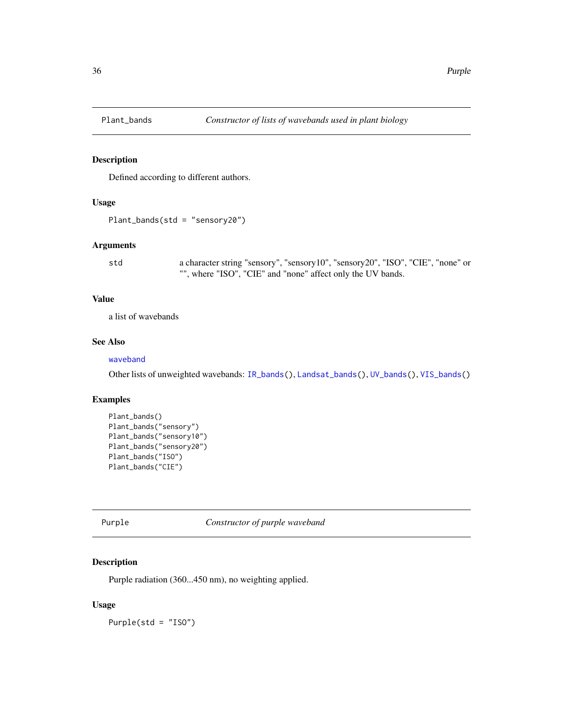<span id="page-35-2"></span><span id="page-35-0"></span>

Defined according to different authors.

## Usage

Plant\_bands(std = "sensory20")

#### Arguments

std a character string "sensory", "sensory10", "sensory20", "ISO", "CIE", "none" or "", where "ISO", "CIE" and "none" affect only the UV bands.

## Value

a list of wavebands

## See Also

## [waveband](#page-0-0)

Other lists of unweighted wavebands: [IR\\_bands\(](#page-28-1)), [Landsat\\_bands\(](#page-29-1)), [UV\\_bands\(](#page-43-2)), [VIS\\_bands\(](#page-44-1))

## Examples

```
Plant_bands()
Plant_bands("sensory")
Plant_bands("sensory10")
Plant_bands("sensory20")
Plant_bands("ISO")
Plant_bands("CIE")
```
<span id="page-35-1"></span>Purple *Constructor of purple waveband*

## Description

Purple radiation (360...450 nm), no weighting applied.

#### Usage

Purple(std = "ISO")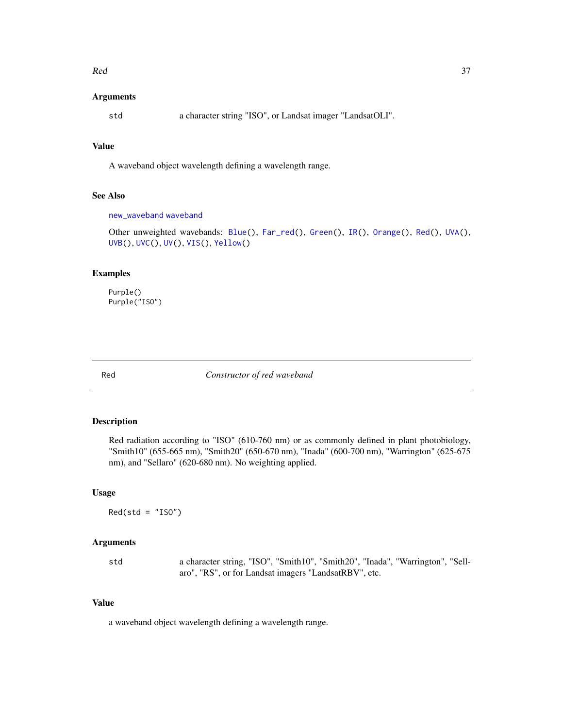#### <span id="page-36-0"></span> $\mathbb{R}$ ed  $\qquad \qquad 37$

## Arguments

std a character string "ISO", or Landsat imager "LandsatOLI".

## Value

A waveband object wavelength defining a wavelength range.

## See Also

```
new_waveband waveband
```

```
Other unweighted wavebands: Blue(), Far_red(), Green(), IR(), Orange(), Red(), UVA(),
UVB(), UVC(), UV(), VIS(), Yellow()
```
## Examples

Purple() Purple("ISO")

<span id="page-36-1"></span>

Red *Constructor of red waveband*

## Description

Red radiation according to "ISO" (610-760 nm) or as commonly defined in plant photobiology, "Smith10" (655-665 nm), "Smith20" (650-670 nm), "Inada" (600-700 nm), "Warrington" (625-675 nm), and "Sellaro" (620-680 nm). No weighting applied.

#### Usage

 $Red(std = "ISO")$ 

## Arguments

std a character string, "ISO", "Smith10", "Smith20", "Inada", "Warrington", "Sellaro", "RS", or for Landsat imagers "LandsatRBV", etc.

## Value

a waveband object wavelength defining a wavelength range.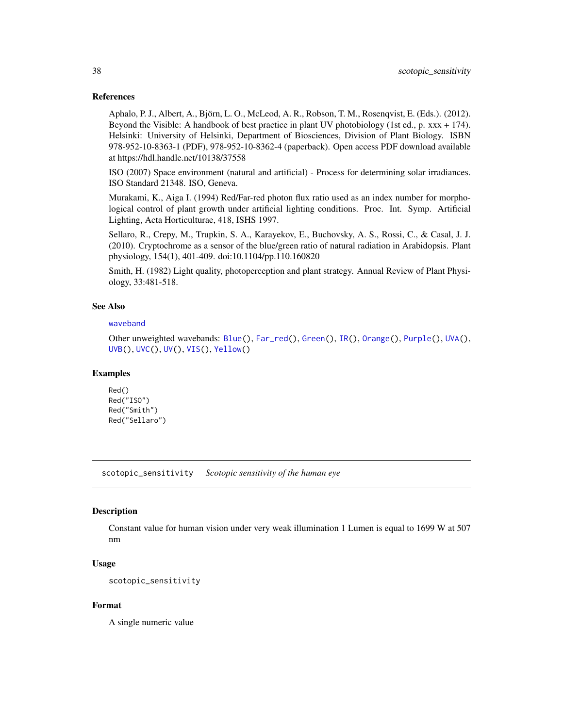## <span id="page-37-0"></span>References

Aphalo, P. J., Albert, A., Björn, L. O., McLeod, A. R., Robson, T. M., Rosenqvist, E. (Eds.). (2012). Beyond the Visible: A handbook of best practice in plant UV photobiology (1st ed., p. xxx + 174). Helsinki: University of Helsinki, Department of Biosciences, Division of Plant Biology. ISBN 978-952-10-8363-1 (PDF), 978-952-10-8362-4 (paperback). Open access PDF download available at https://hdl.handle.net/10138/37558

ISO (2007) Space environment (natural and artificial) - Process for determining solar irradiances. ISO Standard 21348. ISO, Geneva.

Murakami, K., Aiga I. (1994) Red/Far-red photon flux ratio used as an index number for morphological control of plant growth under artificial lighting conditions. Proc. Int. Symp. Artificial Lighting, Acta Horticulturae, 418, ISHS 1997.

Sellaro, R., Crepy, M., Trupkin, S. A., Karayekov, E., Buchovsky, A. S., Rossi, C., & Casal, J. J. (2010). Cryptochrome as a sensor of the blue/green ratio of natural radiation in Arabidopsis. Plant physiology, 154(1), 401-409. doi:10.1104/pp.110.160820

Smith, H. (1982) Light quality, photoperception and plant strategy. Annual Review of Plant Physiology, 33:481-518.

## See Also

#### [waveband](#page-0-0)

Other unweighted wavebands: [Blue\(](#page-4-1)), [Far\\_red\(](#page-16-1)), [Green\(](#page-24-1)), [IR\(](#page-26-1)), [Orange\(](#page-31-1)), [Purple\(](#page-35-1)), [UVA\(](#page-39-1)), [UVB\(](#page-40-1)), [UVC\(](#page-41-1)), [UV\(](#page-38-1)), [VIS\(](#page-43-1)), [Yellow\(](#page-45-1))

#### Examples

Red() Red("ISO") Red("Smith") Red("Sellaro")

scotopic\_sensitivity *Scotopic sensitivity of the human eye*

## Description

Constant value for human vision under very weak illumination 1 Lumen is equal to 1699 W at 507 nm

## Usage

scotopic\_sensitivity

#### Format

A single numeric value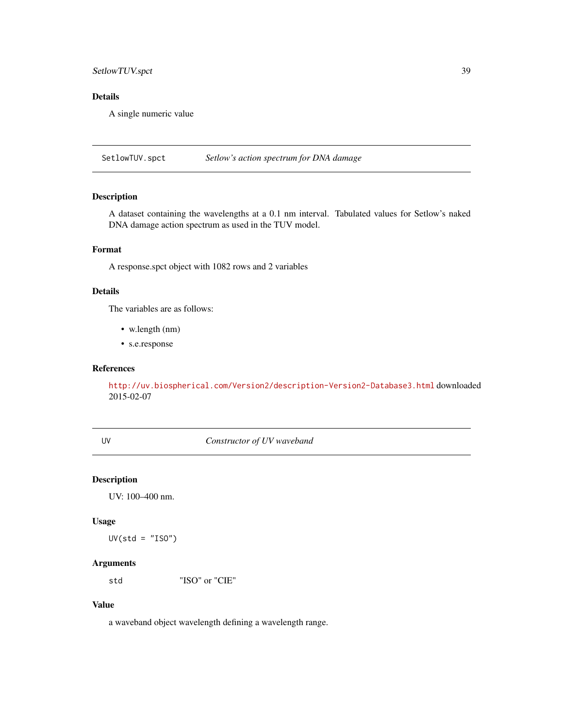## <span id="page-38-0"></span>SetlowTUV.spct 39

## Details

A single numeric value

SetlowTUV.spct *Setlow's action spectrum for DNA damage*

## Description

A dataset containing the wavelengths at a 0.1 nm interval. Tabulated values for Setlow's naked DNA damage action spectrum as used in the TUV model.

## Format

A response.spct object with 1082 rows and 2 variables

## Details

The variables are as follows:

- w.length (nm)
- s.e.response

## References

<http://uv.biospherical.com/Version2/description-Version2-Database3.html> downloaded 2015-02-07

<span id="page-38-1"></span>UV *Constructor of UV waveband*

## Description

UV: 100–400 nm.

#### Usage

 $UV(std = "ISO")$ 

## Arguments

std "ISO" or "CIE"

## Value

a waveband object wavelength defining a wavelength range.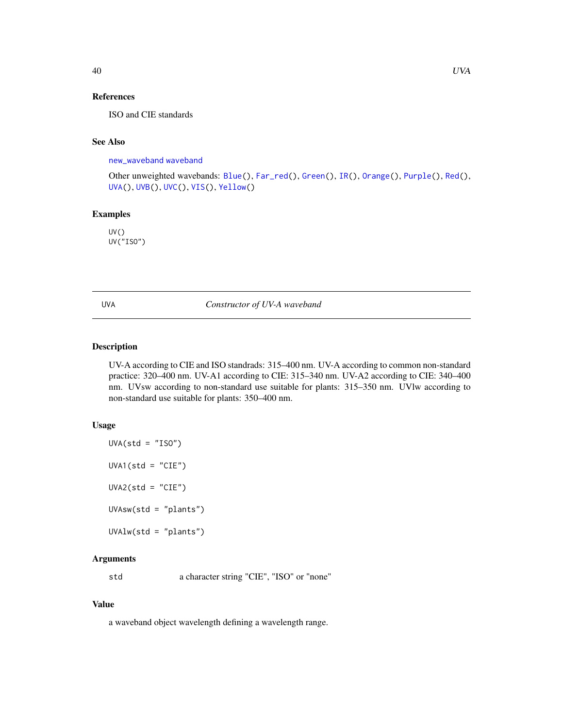## <span id="page-39-0"></span>References

ISO and CIE standards

## See Also

[new\\_waveband](#page-0-0) [waveband](#page-0-0)

```
Other unweighted wavebands: Blue(), Far_red(), Green(), IR(), Orange(), Purple(), Red(),
UVA(), UVB(), UVC(), VIS(), Yellow()
```
## Examples

UV() UV("ISO")

<span id="page-39-1"></span>UVA *Constructor of UV-A waveband*

#### Description

UV-A according to CIE and ISO standrads: 315–400 nm. UV-A according to common non-standard practice: 320–400 nm. UV-A1 according to CIE: 315–340 nm. UV-A2 according to CIE: 340–400 nm. UVsw according to non-standard use suitable for plants: 315–350 nm. UVlw according to non-standard use suitable for plants: 350–400 nm.

## Usage

```
UVA(std = "ISO")UVA1(stat = "CIE")UVA2(std = "CIE")UVAsw(std = "plants")
UVAlw(std = "plants")
```
## Arguments

std a character string "CIE", "ISO" or "none"

#### Value

a waveband object wavelength defining a wavelength range.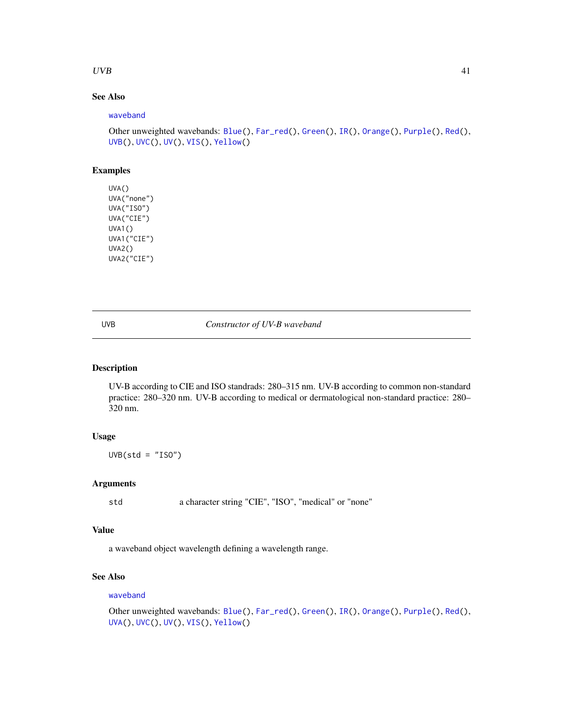## <span id="page-40-0"></span> $UVB$  41

## See Also

#### [waveband](#page-0-0)

```
Other unweighted wavebands: Blue(), Far_red(), Green(), IR(), Orange(), Purple(), Red(),
UVB(), UVC(), UV(), VIS(), Yellow()
```
## Examples

```
UVA()
UVA("none")
UVA("ISO")
UVA("CIE")
UVA1()
UVA1("CIE")
UVA2()
UVA2("CIE")
```
## <span id="page-40-1"></span>UVB *Constructor of UV-B waveband*

## Description

UV-B according to CIE and ISO standrads: 280–315 nm. UV-B according to common non-standard practice: 280–320 nm. UV-B according to medical or dermatological non-standard practice: 280– 320 nm.

### Usage

 $UVB(std = "ISO")$ 

## Arguments

std a character string "CIE", "ISO", "medical" or "none"

## Value

a waveband object wavelength defining a wavelength range.

## See Also

#### [waveband](#page-0-0)

```
Other unweighted wavebands: Blue(), Far_red(), Green(), IR(), Orange(), Purple(), Red(),
UVA(), UVC(), UV(), VIS(), Yellow()
```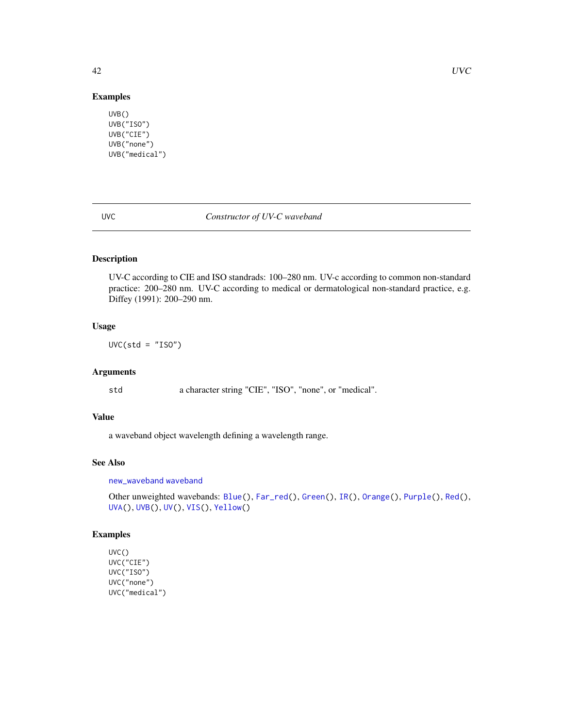## Examples

```
UVB()
UVB("ISO")
UVB("CIE")
UVB("none")
UVB("medical")
```
## <span id="page-41-1"></span>UVC *Constructor of UV-C waveband*

## Description

UV-C according to CIE and ISO standrads: 100–280 nm. UV-c according to common non-standard practice: 200–280 nm. UV-C according to medical or dermatological non-standard practice, e.g. Diffey (1991): 200–290 nm.

## Usage

 $UVC(std = "ISO")$ 

## Arguments

std a character string "CIE", "ISO", "none", or "medical".

## Value

a waveband object wavelength defining a wavelength range.

## See Also

[new\\_waveband](#page-0-0) [waveband](#page-0-0)

```
Other unweighted wavebands: Blue(), Far_red(), Green(), IR(), Orange(), Purple(), Red(),
UVA(), UVB(), UV(), VIS(), Yellow()
```
## Examples

```
UVC()
UVC("CIE")
UVC("ISO")
UVC("none")
UVC("medical")
```
<span id="page-41-0"></span>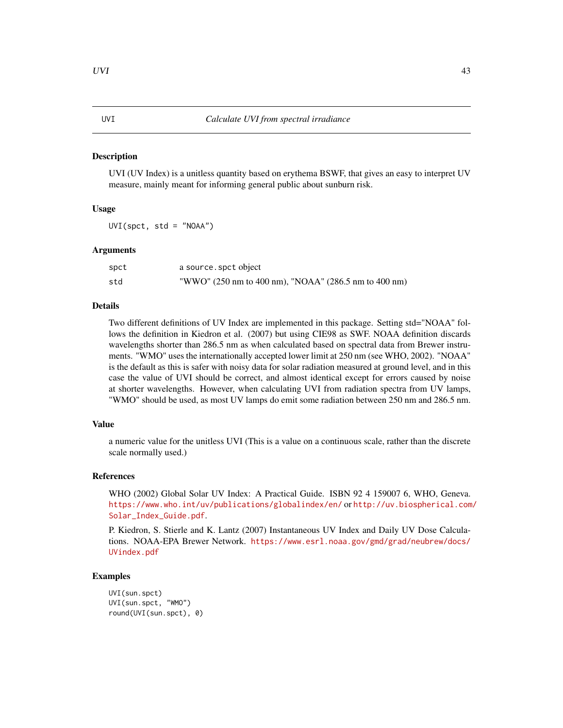UVI (UV Index) is a unitless quantity based on erythema BSWF, that gives an easy to interpret UV measure, mainly meant for informing general public about sunburn risk.

#### Usage

 $UVI(spect, std = "NOAA")$ 

## Arguments

| spct | a source, spct object                                 |
|------|-------------------------------------------------------|
| std  | "WWO" (250 nm to 400 nm), "NOAA" (286.5 nm to 400 nm) |

#### Details

Two different definitions of UV Index are implemented in this package. Setting std="NOAA" follows the definition in Kiedron et al. (2007) but using CIE98 as SWF. NOAA definition discards wavelengths shorter than 286.5 nm as when calculated based on spectral data from Brewer instruments. "WMO" uses the internationally accepted lower limit at 250 nm (see WHO, 2002). "NOAA" is the default as this is safer with noisy data for solar radiation measured at ground level, and in this case the value of UVI should be correct, and almost identical except for errors caused by noise at shorter wavelengths. However, when calculating UVI from radiation spectra from UV lamps, "WMO" should be used, as most UV lamps do emit some radiation between 250 nm and 286.5 nm.

#### Value

a numeric value for the unitless UVI (This is a value on a continuous scale, rather than the discrete scale normally used.)

## References

WHO (2002) Global Solar UV Index: A Practical Guide. ISBN 92 4 159007 6, WHO, Geneva. <https://www.who.int/uv/publications/globalindex/en/> or [http://uv.biospherical.com](http://uv.biospherical.com/Solar_Index_Guide.pdf)/ [Solar\\_Index\\_Guide.pdf](http://uv.biospherical.com/Solar_Index_Guide.pdf).

P. Kiedron, S. Stierle and K. Lantz (2007) Instantaneous UV Index and Daily UV Dose Calculations. NOAA-EPA Brewer Network. [https://www.esrl.noaa.gov/gmd/grad/neubrew/docs/](https://www.esrl.noaa.gov/gmd/grad/neubrew/docs/UVindex.pdf) [UVindex.pdf](https://www.esrl.noaa.gov/gmd/grad/neubrew/docs/UVindex.pdf)

## Examples

```
UVI(sun.spct)
UVI(sun.spct, "WMO")
round(UVI(sun.spct), 0)
```
#### <span id="page-42-0"></span>UVI *Calculate UVI from spectral irradiance*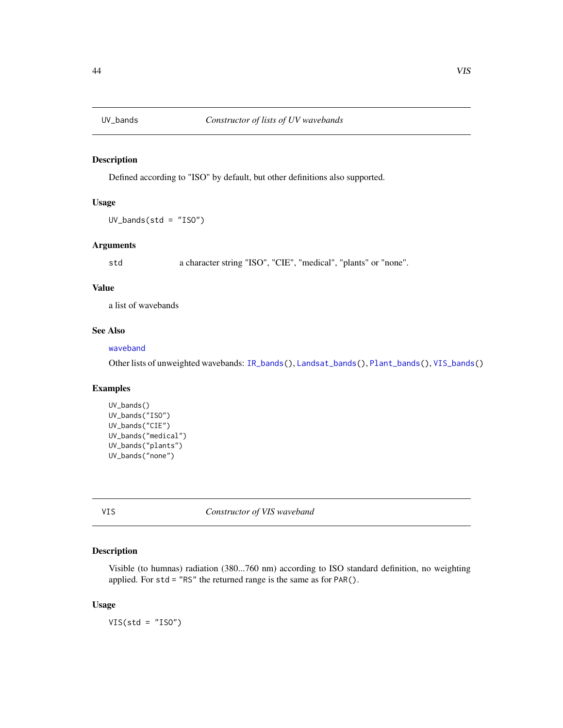<span id="page-43-2"></span><span id="page-43-0"></span>

Defined according to "ISO" by default, but other definitions also supported.

## Usage

UV\_bands(std = "ISO")

#### Arguments

std a character string "ISO", "CIE", "medical", "plants" or "none".

## Value

a list of wavebands

## See Also

## [waveband](#page-0-0)

Other lists of unweighted wavebands: [IR\\_bands\(](#page-28-1)), [Landsat\\_bands\(](#page-29-1)), [Plant\\_bands\(](#page-35-2)), [VIS\\_bands\(](#page-44-1))

## Examples

```
UV_bands()
UV_bands("ISO")
UV_bands("CIE")
UV_bands("medical")
UV_bands("plants")
UV_bands("none")
```
<span id="page-43-1"></span>VIS *Constructor of VIS waveband*

## Description

Visible (to humnas) radiation (380...760 nm) according to ISO standard definition, no weighting applied. For std = "RS" the returned range is the same as for PAR().

#### Usage

 $VIS(std = "ISO")$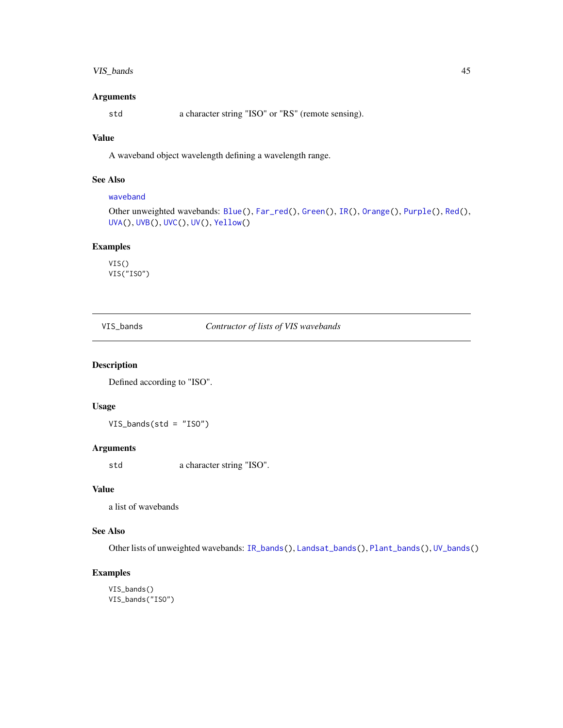## <span id="page-44-0"></span>VIS\_bands 45

## Arguments

std a character string "ISO" or "RS" (remote sensing).

## Value

A waveband object wavelength defining a wavelength range.

## See Also

## [waveband](#page-0-0)

```
Other unweighted wavebands: Blue(), Far_red(), Green(), IR(), Orange(), Purple(), Red(),
UVA(), UVB(), UVC(), UV(), Yellow()
```
## Examples

VIS() VIS("ISO")

<span id="page-44-1"></span>VIS\_bands *Contructor of lists of VIS wavebands*

## Description

Defined according to "ISO".

## Usage

VIS\_bands(std = "ISO")

## Arguments

std a character string "ISO".

#### Value

a list of wavebands

## See Also

Other lists of unweighted wavebands: [IR\\_bands\(](#page-28-1)), [Landsat\\_bands\(](#page-29-1)), [Plant\\_bands\(](#page-35-2)), [UV\\_bands\(](#page-43-2))

## Examples

VIS\_bands() VIS\_bands("ISO")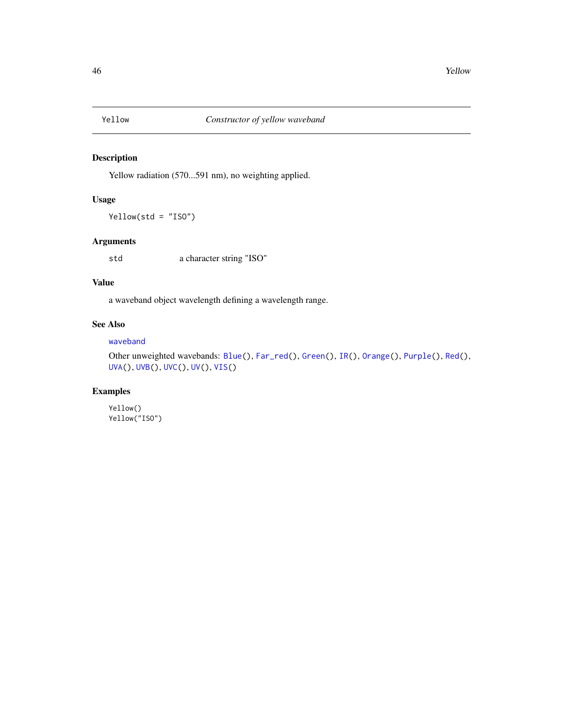<span id="page-45-1"></span><span id="page-45-0"></span>

Yellow radiation (570...591 nm), no weighting applied.

## Usage

Yellow(std = "ISO")

## Arguments

std a character string "ISO"

## Value

a waveband object wavelength defining a wavelength range.

## See Also

## [waveband](#page-0-0)

```
Other unweighted wavebands: Blue(), Far_red(), Green(), IR(), Orange(), Purple(), Red(),
UVA(), UVB(), UVC(), UV(), VIS()
```
## Examples

Yellow() Yellow("ISO")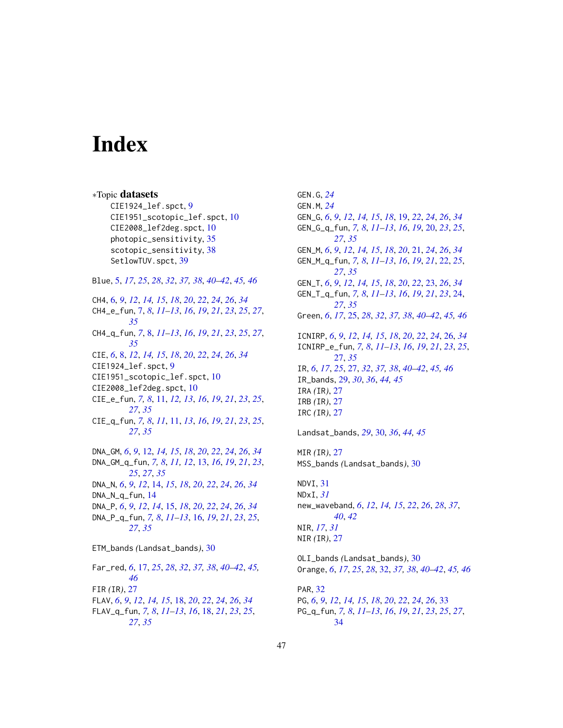# <span id="page-46-0"></span>**Index**

∗Topic datasets CIE1924\_lef.spct, [9](#page-8-0) CIE1951\_scotopic\_lef.spct, [10](#page-9-0) CIE2008\_lef2deg.spct, [10](#page-9-0) photopic\_sensitivity, [35](#page-34-0) scotopic\_sensitivity, [38](#page-37-0) SetlowTUV.spct, [39](#page-38-0) Blue, [5,](#page-4-0) *[17](#page-16-0)*, *[25](#page-24-0)*, *[28](#page-27-0)*, *[32](#page-31-0)*, *[37,](#page-36-0) [38](#page-37-0)*, *[40–](#page-39-0)[42](#page-41-0)*, *[45,](#page-44-0) [46](#page-45-0)* CH4, [6,](#page-5-0) *[9](#page-8-0)*, *[12](#page-11-0)*, *[14,](#page-13-0) [15](#page-14-0)*, *[18](#page-17-0)*, *[20](#page-19-0)*, *[22](#page-21-0)*, *[24](#page-23-0)*, *[26](#page-25-0)*, *[34](#page-33-0)* CH4\_e\_fun, [7,](#page-6-0) *[8](#page-7-0)*, *[11](#page-10-0)[–13](#page-12-0)*, *[16](#page-15-0)*, *[19](#page-18-0)*, *[21](#page-20-0)*, *[23](#page-22-0)*, *[25](#page-24-0)*, *[27](#page-26-0)*, *[35](#page-34-0)* CH4\_q\_fun, *[7](#page-6-0)*, [8,](#page-7-0) *[11](#page-10-0)[–13](#page-12-0)*, *[16](#page-15-0)*, *[19](#page-18-0)*, *[21](#page-20-0)*, *[23](#page-22-0)*, *[25](#page-24-0)*, *[27](#page-26-0)*, *[35](#page-34-0)* CIE, *[6](#page-5-0)*, [8,](#page-7-0) *[12](#page-11-0)*, *[14,](#page-13-0) [15](#page-14-0)*, *[18](#page-17-0)*, *[20](#page-19-0)*, *[22](#page-21-0)*, *[24](#page-23-0)*, *[26](#page-25-0)*, *[34](#page-33-0)* CIE1924\_lef.spct, [9](#page-8-0) CIE1951\_scotopic\_lef.spct, [10](#page-9-0) CIE2008\_lef2deg.spct, [10](#page-9-0) CIE\_e\_fun, *[7,](#page-6-0) [8](#page-7-0)*, [11,](#page-10-0) *[12,](#page-11-0) [13](#page-12-0)*, *[16](#page-15-0)*, *[19](#page-18-0)*, *[21](#page-20-0)*, *[23](#page-22-0)*, *[25](#page-24-0)*, *[27](#page-26-0)*, *[35](#page-34-0)* CIE\_q\_fun, *[7,](#page-6-0) [8](#page-7-0)*, *[11](#page-10-0)*, [11,](#page-10-0) *[13](#page-12-0)*, *[16](#page-15-0)*, *[19](#page-18-0)*, *[21](#page-20-0)*, *[23](#page-22-0)*, *[25](#page-24-0)*, *[27](#page-26-0)*, *[35](#page-34-0)* DNA\_GM, *[6](#page-5-0)*, *[9](#page-8-0)*, [12,](#page-11-0) *[14,](#page-13-0) [15](#page-14-0)*, *[18](#page-17-0)*, *[20](#page-19-0)*, *[22](#page-21-0)*, *[24](#page-23-0)*, *[26](#page-25-0)*, *[34](#page-33-0)* DNA\_GM\_q\_fun, *[7,](#page-6-0) [8](#page-7-0)*, *[11,](#page-10-0) [12](#page-11-0)*, [13,](#page-12-0) *[16](#page-15-0)*, *[19](#page-18-0)*, *[21](#page-20-0)*, *[23](#page-22-0)*, *[25](#page-24-0)*, *[27](#page-26-0)*, *[35](#page-34-0)* DNA\_N, *[6](#page-5-0)*, *[9](#page-8-0)*, *[12](#page-11-0)*, [14,](#page-13-0) *[15](#page-14-0)*, *[18](#page-17-0)*, *[20](#page-19-0)*, *[22](#page-21-0)*, *[24](#page-23-0)*, *[26](#page-25-0)*, *[34](#page-33-0)* DNA\_N\_q\_fun, [14](#page-13-0) DNA\_P, *[6](#page-5-0)*, *[9](#page-8-0)*, *[12](#page-11-0)*, *[14](#page-13-0)*, [15,](#page-14-0) *[18](#page-17-0)*, *[20](#page-19-0)*, *[22](#page-21-0)*, *[24](#page-23-0)*, *[26](#page-25-0)*, *[34](#page-33-0)* DNA\_P\_q\_fun, *[7,](#page-6-0) [8](#page-7-0)*, *[11](#page-10-0)[–13](#page-12-0)*, [16,](#page-15-0) *[19](#page-18-0)*, *[21](#page-20-0)*, *[23](#page-22-0)*, *[25](#page-24-0)*, *[27](#page-26-0)*, *[35](#page-34-0)* ETM\_bands *(*Landsat\_bands*)*, [30](#page-29-0) Far\_red, *[6](#page-5-0)*, [17,](#page-16-0) *[25](#page-24-0)*, *[28](#page-27-0)*, *[32](#page-31-0)*, *[37,](#page-36-0) [38](#page-37-0)*, *[40–](#page-39-0)[42](#page-41-0)*, *[45,](#page-44-0) [46](#page-45-0)* FIR *(*IR*)*, [27](#page-26-0) FLAV, *[6](#page-5-0)*, *[9](#page-8-0)*, *[12](#page-11-0)*, *[14,](#page-13-0) [15](#page-14-0)*, [18,](#page-17-0) *[20](#page-19-0)*, *[22](#page-21-0)*, *[24](#page-23-0)*, *[26](#page-25-0)*, *[34](#page-33-0)* FLAV\_q\_fun, *[7,](#page-6-0) [8](#page-7-0)*, *[11](#page-10-0)[–13](#page-12-0)*, *[16](#page-15-0)*, [18,](#page-17-0) *[21](#page-20-0)*, *[23](#page-22-0)*, *[25](#page-24-0)*, *[27](#page-26-0)*, *[35](#page-34-0)*

GEN.G, *[24](#page-23-0)* GEN.M, *[24](#page-23-0)* GEN\_G, *[6](#page-5-0)*, *[9](#page-8-0)*, *[12](#page-11-0)*, *[14,](#page-13-0) [15](#page-14-0)*, *[18](#page-17-0)*, [19,](#page-18-0) *[22](#page-21-0)*, *[24](#page-23-0)*, *[26](#page-25-0)*, *[34](#page-33-0)* GEN\_G\_q\_fun, *[7,](#page-6-0) [8](#page-7-0)*, *[11](#page-10-0)[–13](#page-12-0)*, *[16](#page-15-0)*, *[19](#page-18-0)*, [20,](#page-19-0) *[23](#page-22-0)*, *[25](#page-24-0)*, *[27](#page-26-0)*, *[35](#page-34-0)* GEN\_M, *[6](#page-5-0)*, *[9](#page-8-0)*, *[12](#page-11-0)*, *[14,](#page-13-0) [15](#page-14-0)*, *[18](#page-17-0)*, *[20](#page-19-0)*, [21,](#page-20-0) *[24](#page-23-0)*, *[26](#page-25-0)*, *[34](#page-33-0)* GEN\_M\_q\_fun, *[7,](#page-6-0) [8](#page-7-0)*, *[11](#page-10-0)[–13](#page-12-0)*, *[16](#page-15-0)*, *[19](#page-18-0)*, *[21](#page-20-0)*, [22,](#page-21-0) *[25](#page-24-0)*, *[27](#page-26-0)*, *[35](#page-34-0)* GEN\_T, *[6](#page-5-0)*, *[9](#page-8-0)*, *[12](#page-11-0)*, *[14,](#page-13-0) [15](#page-14-0)*, *[18](#page-17-0)*, *[20](#page-19-0)*, *[22](#page-21-0)*, [23,](#page-22-0) *[26](#page-25-0)*, *[34](#page-33-0)* GEN\_T\_q\_fun, *[7,](#page-6-0) [8](#page-7-0)*, *[11](#page-10-0)[–13](#page-12-0)*, *[16](#page-15-0)*, *[19](#page-18-0)*, *[21](#page-20-0)*, *[23](#page-22-0)*, [24,](#page-23-0) *[27](#page-26-0)*, *[35](#page-34-0)* Green, *[6](#page-5-0)*, *[17](#page-16-0)*, [25,](#page-24-0) *[28](#page-27-0)*, *[32](#page-31-0)*, *[37,](#page-36-0) [38](#page-37-0)*, *[40](#page-39-0)[–42](#page-41-0)*, *[45,](#page-44-0) [46](#page-45-0)* ICNIRP, *[6](#page-5-0)*, *[9](#page-8-0)*, *[12](#page-11-0)*, *[14,](#page-13-0) [15](#page-14-0)*, *[18](#page-17-0)*, *[20](#page-19-0)*, *[22](#page-21-0)*, *[24](#page-23-0)*, [26,](#page-25-0) *[34](#page-33-0)* ICNIRP\_e\_fun, *[7,](#page-6-0) [8](#page-7-0)*, *[11](#page-10-0)[–13](#page-12-0)*, *[16](#page-15-0)*, *[19](#page-18-0)*, *[21](#page-20-0)*, *[23](#page-22-0)*, *[25](#page-24-0)*, [27,](#page-26-0) *[35](#page-34-0)* IR, *[6](#page-5-0)*, *[17](#page-16-0)*, *[25](#page-24-0)*, [27,](#page-26-0) *[32](#page-31-0)*, *[37,](#page-36-0) [38](#page-37-0)*, *[40](#page-39-0)[–42](#page-41-0)*, *[45,](#page-44-0) [46](#page-45-0)* IR\_bands, [29,](#page-28-0) *[30](#page-29-0)*, *[36](#page-35-0)*, *[44,](#page-43-0) [45](#page-44-0)* IRA *(*IR*)*, [27](#page-26-0) IRB *(*IR*)*, [27](#page-26-0) IRC *(*IR*)*, [27](#page-26-0) Landsat\_bands, *[29](#page-28-0)*, [30,](#page-29-0) *[36](#page-35-0)*, *[44,](#page-43-0) [45](#page-44-0)* MIR *(*IR*)*, [27](#page-26-0) MSS\_bands *(*Landsat\_bands*)*, [30](#page-29-0) NDVI, [31](#page-30-0) NDxI, *[31](#page-30-0)* new\_waveband, *[6](#page-5-0)*, *[12](#page-11-0)*, *[14,](#page-13-0) [15](#page-14-0)*, *[22](#page-21-0)*, *[26](#page-25-0)*, *[28](#page-27-0)*, *[37](#page-36-0)*, *[40](#page-39-0)*, *[42](#page-41-0)* NIR, *[17](#page-16-0)*, *[31](#page-30-0)* NIR *(*IR*)*, [27](#page-26-0) OLI\_bands *(*Landsat\_bands*)*, [30](#page-29-0) Orange, *[6](#page-5-0)*, *[17](#page-16-0)*, *[25](#page-24-0)*, *[28](#page-27-0)*, [32,](#page-31-0) *[37,](#page-36-0) [38](#page-37-0)*, *[40](#page-39-0)[–42](#page-41-0)*, *[45,](#page-44-0) [46](#page-45-0)* PAR, [32](#page-31-0) PG, *[6](#page-5-0)*, *[9](#page-8-0)*, *[12](#page-11-0)*, *[14,](#page-13-0) [15](#page-14-0)*, *[18](#page-17-0)*, *[20](#page-19-0)*, *[22](#page-21-0)*, *[24](#page-23-0)*, *[26](#page-25-0)*, [33](#page-32-0) PG\_q\_fun, *[7,](#page-6-0) [8](#page-7-0)*, *[11](#page-10-0)[–13](#page-12-0)*, *[16](#page-15-0)*, *[19](#page-18-0)*, *[21](#page-20-0)*, *[23](#page-22-0)*, *[25](#page-24-0)*, *[27](#page-26-0)*, [34](#page-33-0)